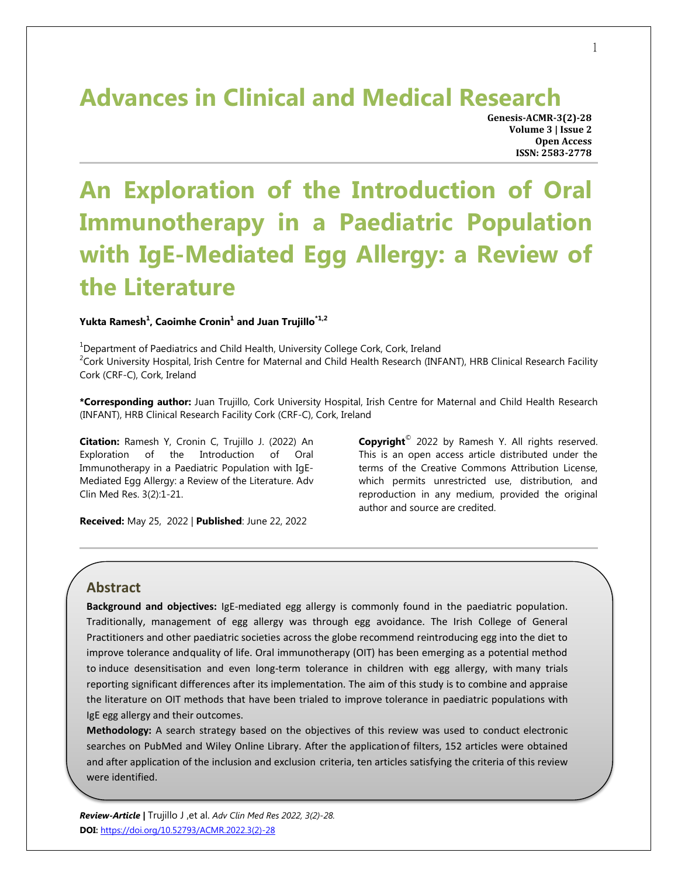## **Advances in Clinical and Medical Research**

**Genesis-ACMR-3(2)-28 Volume 3 | Issue 2 Open Access ISSN: 2583-2778**

# **An Exploration of the Introduction of Oral Immunotherapy in a Paediatric Population with IgE-Mediated Egg Allergy: a Review of the Literature**

#### **Yukta Ramesh<sup>1</sup> , Caoimhe Cronin<sup>1</sup> and Juan Trujillo\*1,2**

<sup>1</sup>Department of Paediatrics and Child Health, University College Cork, Cork, Ireland  $2$ Cork University Hospital, Irish Centre for Maternal and Child Health Research (INFANT), HRB Clinical Research Facility Cork (CRF-C), Cork, Ireland

**\*Corresponding author:** Juan Trujillo, Cork University Hospital, Irish Centre for Maternal and Child Health Research (INFANT), HRB Clinical Research Facility Cork (CRF-C), Cork, Ireland

**Citation:** Ramesh Y, Cronin C, Trujillo J. (2022) An Exploration of the Introduction of Oral Immunotherapy in a Paediatric Population with IgE-Mediated Egg Allergy: a Review of the Literature. Adv Clin Med Res. 3(2):1-21.

**Copyright**© 2022 by Ramesh Y. All rights reserved. This is an open access article distributed under the terms of the Creative Commons Attribution License, which permits unrestricted use, distribution, and reproduction in any medium, provided the original author and source are credited.

**Received:** May 25, 2022 | **Published**: June 22, 2022

## **Abstract**

**Background and objectives:** IgE-mediated egg allergy is commonly found in the paediatric population. Traditionally, management of egg allergy was through egg avoidance. The Irish College of General Practitioners and other paediatric societies across the globe recommend reintroducing egg into the diet to improve tolerance andquality of life. Oral immunotherapy (OIT) has been emerging as a potential method to induce desensitisation and even long-term tolerance in children with egg allergy, with many trials reporting significant differences after its implementation. The aim of this study is to combine and appraise the literature on OIT methods that have been trialed to improve tolerance in paediatric populations with IgE egg allergy and their outcomes.

**Methodology:** A search strategy based on the objectives of this review was used to conduct electronic searches on PubMed and Wiley Online Library. After the applicationof filters, 152 articles were obtained and after application of the inclusion and exclusion criteria, ten articles satisfying the criteria of this review were identified.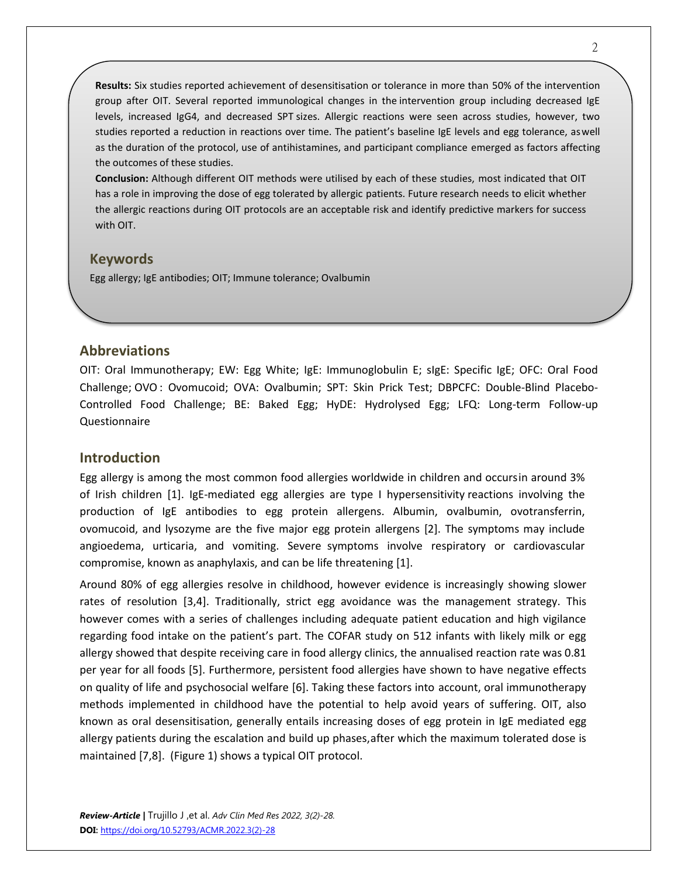**Results:** Six studies reported achievement of desensitisation or tolerance in more than 50% of the intervention group after OIT. Several reported immunological changes in the intervention group including decreased IgE levels, increased IgG4, and decreased SPT sizes. Allergic reactions were seen across studies, however, two studies reported a reduction in reactions over time. The patient's baseline IgE levels and egg tolerance, aswell as the duration of the protocol, use of antihistamines, and participant compliance emerged as factors affecting the outcomes of these studies.

**Conclusion:** Although different OIT methods were utilised by each of these studies, most indicated that OIT has a role in improving the dose of egg tolerated by allergic patients. Future research needs to elicit whether the allergic reactions during OIT protocols are an acceptable risk and identify predictive markers for success with OIT.

## **Keywords**

Egg allergy; IgE antibodies; OIT; Immune tolerance; Ovalbumin

## **Abbreviations**

OIT: Oral Immunotherapy; EW: Egg White; IgE: Immunoglobulin E; sIgE: Specific IgE; OFC: Oral Food Challenge; OVO: Ovomucoid; OVA: Ovalbumin; SPT: Skin Prick Test; DBPCFC: Double-Blind Placebo-Controlled Food Challenge; BE: Baked Egg; HyDE: Hydrolysed Egg; LFQ: Long-term Follow-up Questionnaire

## **Introduction**

Egg allergy is among the most common food allergies worldwide in children and occursin around 3% of Irish children [1]. IgE-mediated egg allergies are type I hypersensitivity reactions involving the production of IgE antibodies to egg protein allergens. Albumin, ovalbumin, ovotransferrin, ovomucoid, and lysozyme are the five major egg protein allergens [2]. The symptoms may include angioedema, urticaria, and vomiting. Severe symptoms involve respiratory or cardiovascular compromise, known as anaphylaxis, and can be life threatening [1].

Around 80% of egg allergies resolve in childhood, however evidence is increasingly showing slower rates of resolution [3,4]. Traditionally, strict egg avoidance was the management strategy. This however comes with a series of challenges including adequate patient education and high vigilance regarding food intake on the patient's part. The COFAR study on 512 infants with likely milk or egg allergy showed that despite receiving care in food allergy clinics, the annualised reaction rate was 0.81 per year for all foods [5]. Furthermore, persistent food allergies have shown to have negative effects on quality of life and psychosocial welfare [6]. Taking these factors into account, oral immunotherapy methods implemented in childhood have the potential to help avoid years of suffering. OIT, also known as oral desensitisation, generally entails increasing doses of egg protein in IgE mediated egg allergy patients during the escalation and build up phases,after which the maximum tolerated dose is maintained [7,8]. (Figure 1) shows a typical OIT protocol.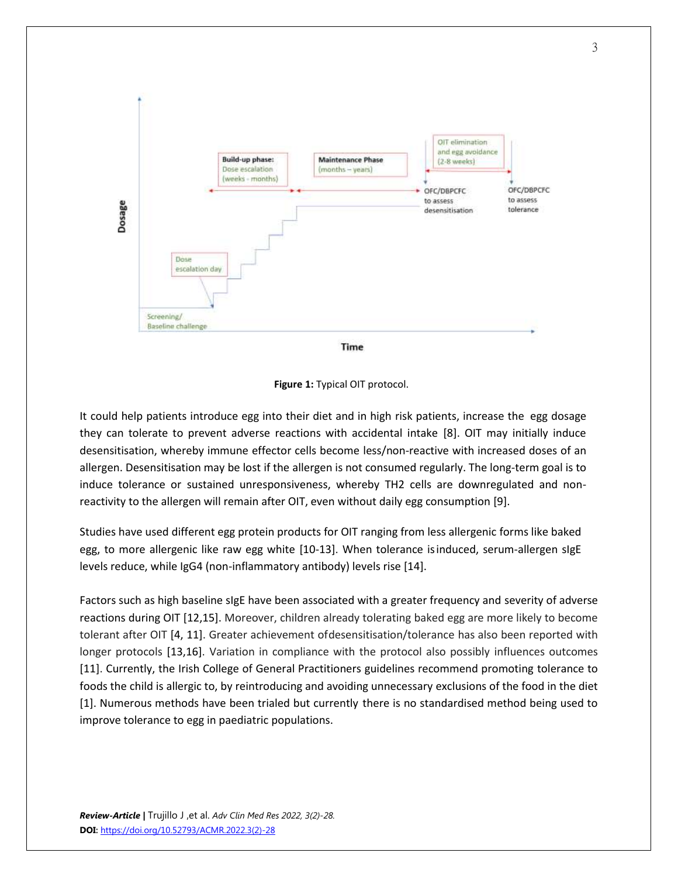



It could help patients introduce egg into their diet and in high risk patients, increase the egg dosage they can tolerate to prevent adverse reactions with accidental intake [8]. OIT may initially induce desensitisation, whereby immune effector cells become less/non-reactive with increased doses of an allergen. Desensitisation may be lost if the allergen is not consumed regularly. The long-term goal is to induce tolerance or sustained unresponsiveness, whereby TH2 cells are downregulated and nonreactivity to the allergen will remain after OIT, even without daily egg consumption [9].

Studies have used different egg protein products for OIT ranging from less allergenic forms like baked egg, to more allergenic like raw egg white [10-13]. When tolerance isinduced, serum-allergen sIgE levels reduce, while IgG4 (non-inflammatory antibody) levels rise [14].

Factors such as high baseline sIgE have been associated with a greater frequency and severity of adverse reactions during OIT [12,15]. Moreover, children already tolerating baked egg are more likely to become tolerant after OIT [4, 11]. Greater achievement ofdesensitisation/tolerance has also been reported with longer protocols [13,16]. Variation in compliance with the protocol also possibly influences outcomes [11]. Currently, the Irish College of General Practitioners guidelines recommend promoting tolerance to foods the child is allergic to, by reintroducing and avoiding unnecessary exclusions of the food in the diet [1]. Numerous methods have been trialed but currently there is no standardised method being used to improve tolerance to egg in paediatric populations.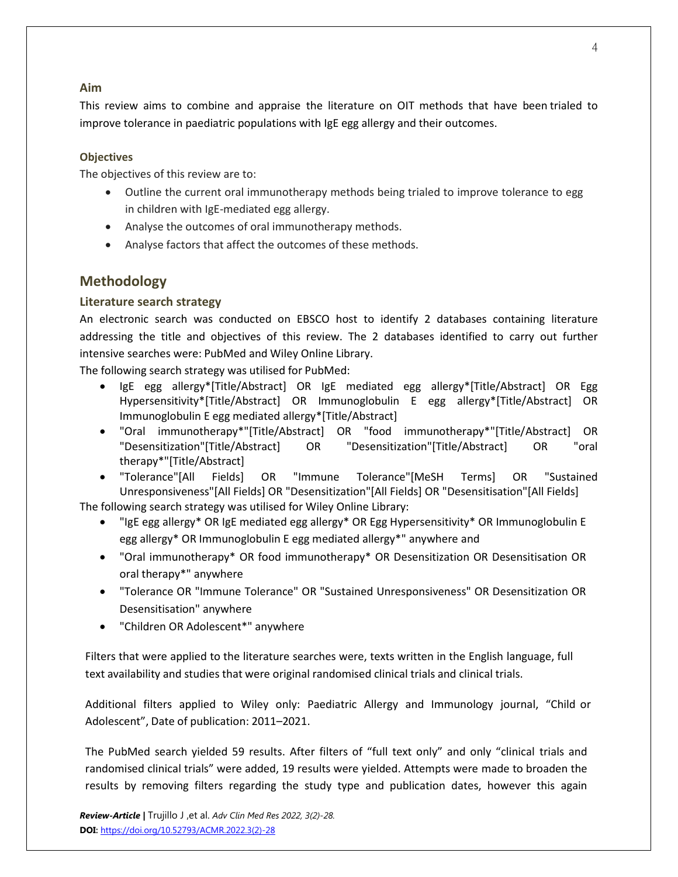## **Aim**

This review aims to combine and appraise the literature on OIT methods that have been trialed to improve tolerance in paediatric populations with IgE egg allergy and their outcomes.

## **Objectives**

The objectives of this review are to:

- Outline the current oral immunotherapy methods being trialed to improve tolerance to egg in children with IgE-mediated egg allergy.
- Analyse the outcomes of oral immunotherapy methods.
- Analyse factors that affect the outcomes of these methods.

## **Methodology**

## **Literature search strategy**

An electronic search was conducted on EBSCO host to identify 2 databases containing literature addressing the title and objectives of this review. The 2 databases identified to carry out further intensive searches were: PubMed and Wiley Online Library.

The following search strategy was utilised for PubMed:

- IgE egg allergy\*[Title/Abstract] OR IgE mediated egg allergy\*[Title/Abstract] OR Egg Hypersensitivity\*[Title/Abstract] OR Immunoglobulin E egg allergy\*[Title/Abstract] OR Immunoglobulin E egg mediated allergy\*[Title/Abstract]
- "Oral immunotherapy\*"[Title/Abstract] OR "food immunotherapy\*"[Title/Abstract] OR "Desensitization"[Title/Abstract] OR "Desensitization"[Title/Abstract] OR "oral therapy\*"[Title/Abstract]
- "Tolerance"[All Fields] OR "Immune Tolerance"[MeSH Terms] OR "Sustained Unresponsiveness"[All Fields] OR "Desensitization"[All Fields] OR "Desensitisation"[All Fields] The following search strategy was utilised for Wiley Online Library:
	- "IgE egg allergy\* OR IgE mediated egg allergy\* OR Egg Hypersensitivity\* OR Immunoglobulin E egg allergy\* OR Immunoglobulin E egg mediated allergy\*" anywhere and
	- "Oral immunotherapy\* OR food immunotherapy\* OR Desensitization OR Desensitisation OR oral therapy\*" anywhere
	- "Tolerance OR "Immune Tolerance" OR "Sustained Unresponsiveness" OR Desensitization OR Desensitisation" anywhere
	- "Children OR Adolescent\*" anywhere

Filters that were applied to the literature searches were, texts written in the English language, full text availability and studies that were original randomised clinical trials and clinical trials.

Additional filters applied to Wiley only: Paediatric Allergy and Immunology journal, "Child or Adolescent", Date of publication: 2011–2021.

The PubMed search yielded 59 results. After filters of "full text only" and only "clinical trials and randomised clinical trials" were added, 19 results were yielded. Attempts were made to broaden the results by removing filters regarding the study type and publication dates, however this again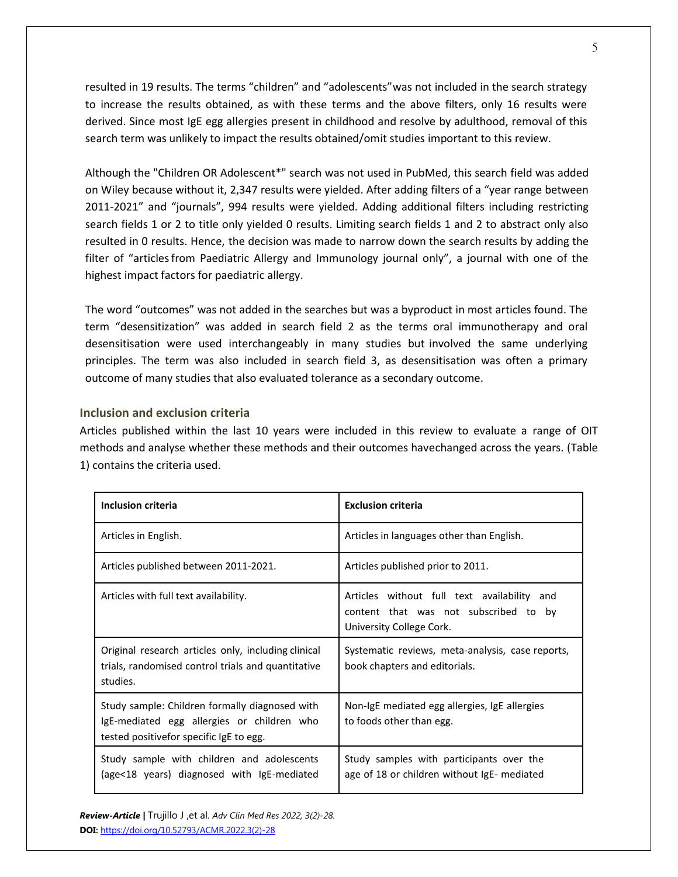resulted in 19 results. The terms "children" and "adolescents"was not included in the search strategy to increase the results obtained, as with these terms and the above filters, only 16 results were derived. Since most IgE egg allergies present in childhood and resolve by adulthood, removal of this search term was unlikely to impact the results obtained/omit studies important to this review.

Although the "Children OR Adolescent\*" search was not used in PubMed, this search field was added on Wiley because without it, 2,347 results were yielded. After adding filters of a "year range between 2011-2021" and "journals", 994 results were yielded. Adding additional filters including restricting search fields 1 or 2 to title only yielded 0 results. Limiting search fields 1 and 2 to abstract only also resulted in 0 results. Hence, the decision was made to narrow down the search results by adding the filter of "articles from Paediatric Allergy and Immunology journal only", a journal with one of the highest impact factors for paediatric allergy.

The word "outcomes" was not added in the searches but was a byproduct in most articles found. The term "desensitization" was added in search field 2 as the terms oral immunotherapy and oral desensitisation were used interchangeably in many studies but involved the same underlying principles. The term was also included in search field 3, as desensitisation was often a primary outcome of many studies that also evaluated tolerance as a secondary outcome.

#### **Inclusion and exclusion criteria**

Articles published within the last 10 years were included in this review to evaluate a range of OIT methods and analyse whether these methods and their outcomes havechanged across the years. (Table 1) contains the criteria used.

| <b>Inclusion criteria</b>                                                                                                               | <b>Exclusion criteria</b>                                                                                        |
|-----------------------------------------------------------------------------------------------------------------------------------------|------------------------------------------------------------------------------------------------------------------|
| Articles in English.                                                                                                                    | Articles in languages other than English.                                                                        |
| Articles published between 2011-2021.                                                                                                   | Articles published prior to 2011.                                                                                |
| Articles with full text availability.                                                                                                   | Articles without full text availability and<br>content that was not subscribed to by<br>University College Cork. |
| Original research articles only, including clinical<br>trials, randomised control trials and quantitative<br>studies.                   | Systematic reviews, meta-analysis, case reports,<br>book chapters and editorials.                                |
| Study sample: Children formally diagnosed with<br>IgE-mediated egg allergies or children who<br>tested positivefor specific lgE to egg. | Non-IgE mediated egg allergies, IgE allergies<br>to foods other than egg.                                        |
| Study sample with children and adolescents<br>(age<18 years) diagnosed with IgE-mediated                                                | Study samples with participants over the<br>age of 18 or children without IgE- mediated                          |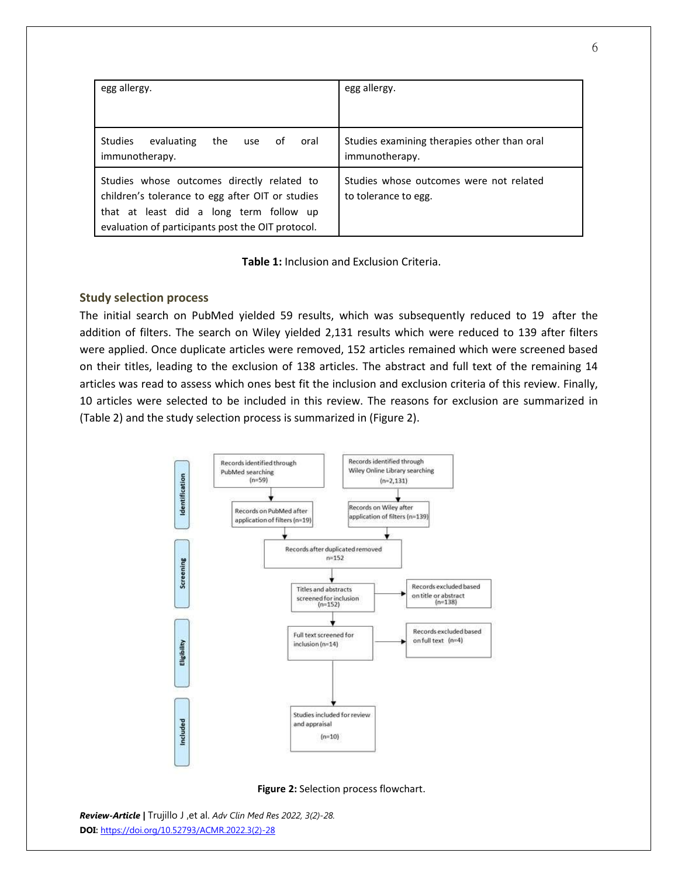| egg allergy.                                                                                                                                                                                   | egg allergy.                                                    |
|------------------------------------------------------------------------------------------------------------------------------------------------------------------------------------------------|-----------------------------------------------------------------|
| <b>Studies</b><br>evaluating<br>the<br>oral<br>of<br>use<br>immunotherapy.                                                                                                                     | Studies examining therapies other than oral<br>immunotherapy.   |
| Studies whose outcomes directly related to<br>children's tolerance to egg after OIT or studies<br>that at least did a long term follow up<br>evaluation of participants post the OIT protocol. | Studies whose outcomes were not related<br>to tolerance to egg. |

**Table 1:** Inclusion and Exclusion Criteria.

## **Study selection process**

The initial search on PubMed yielded 59 results, which was subsequently reduced to 19 after the addition of filters. The search on Wiley yielded 2,131 results which were reduced to 139 after filters were applied. Once duplicate articles were removed, 152 articles remained which were screened based on their titles, leading to the exclusion of 138 articles. The abstract and full text of the remaining 14 articles was read to assess which ones best fit the inclusion and exclusion criteria of this review. Finally, 10 articles were selected to be included in this review. The reasons for exclusion are summarized in (Table 2) and the study selection process is summarized in (Figure 2).



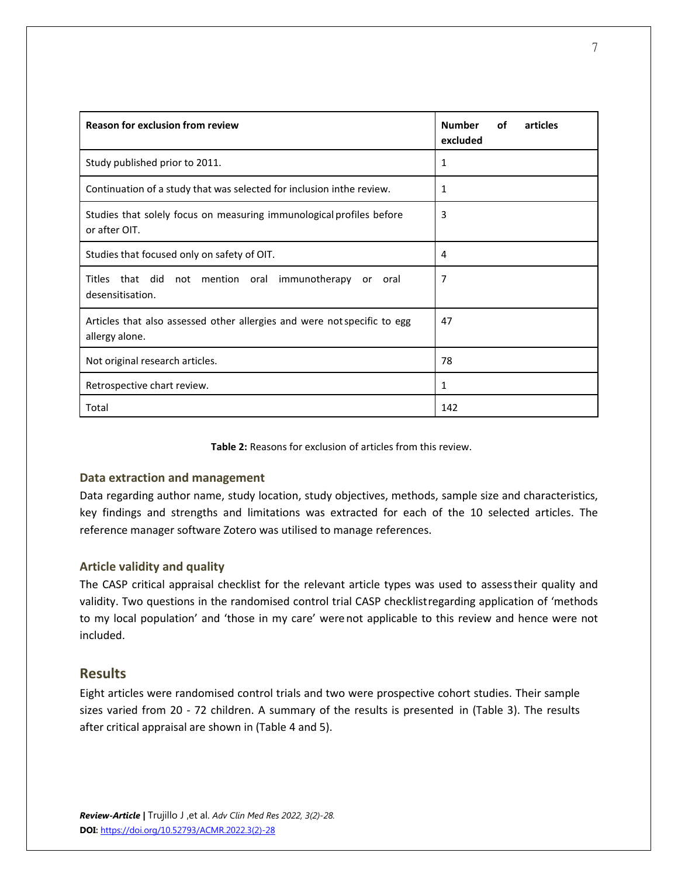| <b>Reason for exclusion from review</b>                                                    | <b>Number</b><br>οf<br>articles<br>excluded |
|--------------------------------------------------------------------------------------------|---------------------------------------------|
| Study published prior to 2011.                                                             | 1                                           |
| Continuation of a study that was selected for inclusion inthe review.                      | 1                                           |
| Studies that solely focus on measuring immunological profiles before<br>or after OIT.      | 3                                           |
| Studies that focused only on safety of OIT.                                                | 4                                           |
| Titles<br>that did not mention oral<br>immunotherapy<br>or oral<br>desensitisation.        | 7                                           |
| Articles that also assessed other allergies and were not specific to egg<br>allergy alone. | 47                                          |
| Not original research articles.                                                            | 78                                          |
| Retrospective chart review.                                                                | 1                                           |
| Total                                                                                      | 142                                         |

**Table 2:** Reasons for exclusion of articles from this review.

## **Data extraction and management**

Data regarding author name, study location, study objectives, methods, sample size and characteristics, key findings and strengths and limitations was extracted for each of the 10 selected articles. The reference manager software Zotero was utilised to manage references.

## **Article validity and quality**

The CASP critical appraisal checklist for the relevant article types was used to assesstheir quality and validity. Two questions in the randomised control trial CASP checklistregarding application of 'methods to my local population' and 'those in my care' werenot applicable to this review and hence were not included.

## **Results**

Eight articles were randomised control trials and two were prospective cohort studies. Their sample sizes varied from 20 - 72 children. A summary of the results is presented in (Table 3). The results after critical appraisal are shown in (Table 4 and 5).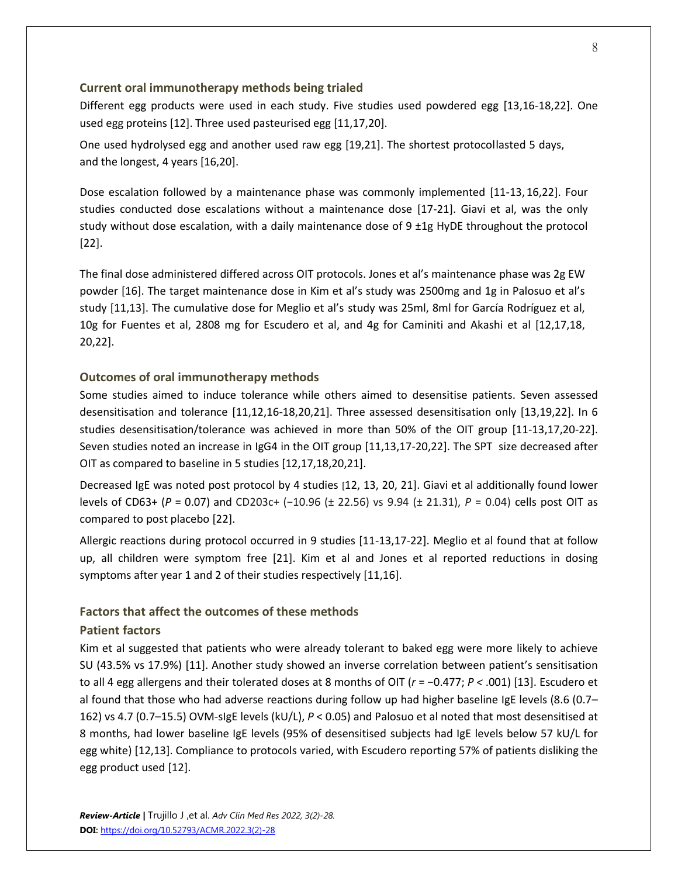#### **Current oral immunotherapy methods being trialed**

Different egg products were used in each study. Five studies used powdered egg [13,16-18,22]. One used egg proteins [12]. Three used pasteurised egg [11,17,20].

One used hydrolysed egg and another used raw egg [19,21]. The shortest protocollasted 5 days, and the longest, 4 years [16,20].

Dose escalation followed by a maintenance phase was commonly implemented [11-13,16,22]. Four studies conducted dose escalations without a maintenance dose [17-21]. Giavi et al, was the only study without dose escalation, with a daily maintenance dose of  $9 \pm 1g$  HyDE throughout the protocol [22].

The final dose administered differed across OIT protocols. Jones et al's maintenance phase was 2g EW powder [16]. The target maintenance dose in Kim et al's study was 2500mg and 1g in Palosuo et al's study [11,13]. The cumulative dose for Meglio et al's study was 25ml, 8ml for García Rodríguez et al, 10g for Fuentes et al, 2808 mg for Escudero et al, and 4g for Caminiti and Akashi et al [12,17,18, 20,22].

#### **Outcomes of oral immunotherapy methods**

Some studies aimed to induce tolerance while others aimed to desensitise patients. Seven assessed desensitisation and tolerance [11,12,16-18,20,21]. Three assessed desensitisation only [13,19,22]. In 6 studies desensitisation/tolerance was achieved in more than 50% of the OIT group [11-13,17,20-22]. Seven studies noted an increase in IgG4 in the OIT group [11,13,17-20,22]. The SPT size decreased after OIT as compared to baseline in 5 studies [12,17,18,20,21].

Decreased IgE was noted post protocol by 4 studies [12, 13, 20, 21]. Giavi et al additionally found lower levels of CD63+ (*P* = 0.07) and CD203c+ (−10.96 (± 22.56) vs 9.94 (± 21.31), *P* = 0.04) cells post OIT as compared to post placebo [22].

Allergic reactions during protocol occurred in 9 studies [11-13,17-22]. Meglio et al found that at follow up, all children were symptom free [21]. Kim et al and Jones et al reported reductions in dosing symptoms after year 1 and 2 of their studies respectively [11,16].

#### **Factors that affect the outcomes of these methods**

#### **Patient factors**

Kim et al suggested that patients who were already tolerant to baked egg were more likely to achieve SU (43.5% vs 17.9%) [11]. Another study showed an inverse correlation between patient's sensitisation to all 4 egg allergens and their tolerated doses at 8 months of OIT (*r* = −0.477; *P <* .001) [13]. Escudero et al found that those who had adverse reactions during follow up had higher baseline IgE levels (8.6 (0.7– 162) vs 4.7 (0.7–15.5) OVM-sIgE levels (kU/L), *P* < 0.05) and Palosuo et al noted that most desensitised at 8 months, had lower baseline IgE levels (95% of desensitised subjects had IgE levels below 57 kU/L for egg white) [12,13]. Compliance to protocols varied, with Escudero reporting 57% of patients disliking the egg product used [12].

8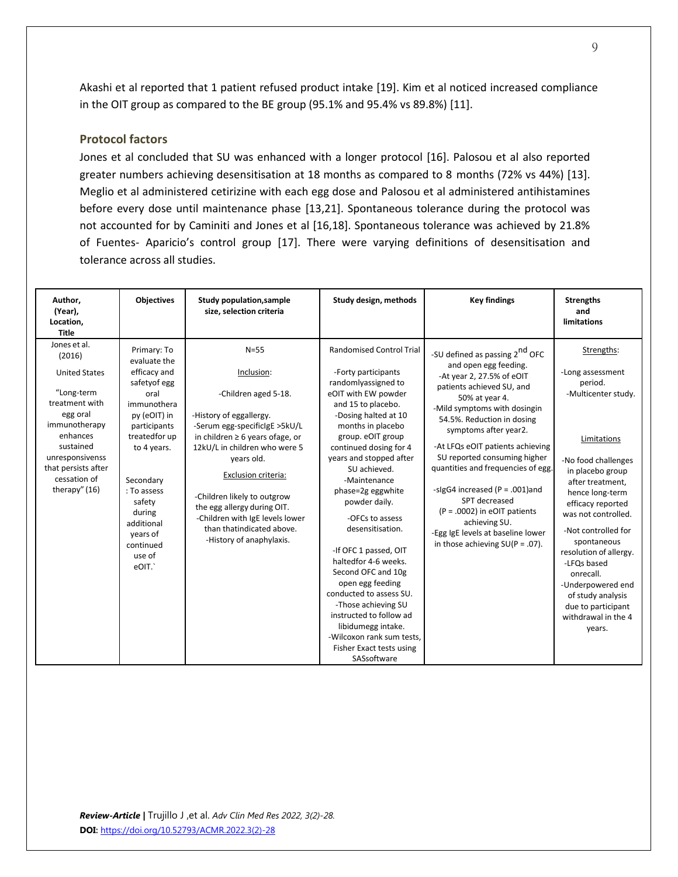Akashi et al reported that 1 patient refused product intake [19]. Kim et al noticed increased compliance in the OIT group as compared to the BE group (95.1% and 95.4% vs 89.8%) [11].

## **Protocol factors**

Jones et al concluded that SU was enhanced with a longer protocol [16]. Palosou et al also reported greater numbers achieving desensitisation at 18 months as compared to 8 months (72% vs 44%) [13]. Meglio et al administered cetirizine with each egg dose and Palosou et al administered antihistamines before every dose until maintenance phase [13,21]. Spontaneous tolerance during the protocol was not accounted for by Caminiti and Jones et al [16,18]. Spontaneous tolerance was achieved by 21.8% of Fuentes- Aparicio's control group [17]. There were varying definitions of desensitisation and tolerance across all studies.

| Author,<br>(Year),<br>Location,<br><b>Title</b>                                                                                                                                                                 | <b>Objectives</b>                                                                                                                                                                                                                                            | <b>Study population, sample</b><br>size, selection criteria                                                                                                                                                                                                                                                                                                                        | Study design, methods                                                                                                                                                                                                                                                                                                                                                                                                                                                                                                                                                                                                                | <b>Key findings</b>                                                                                                                                                                                                                                                                                                                                                                                                                                                                                                               | <b>Strengths</b><br>and<br>limitations                                                                                                                                                                                                                                                                                                                                                                     |
|-----------------------------------------------------------------------------------------------------------------------------------------------------------------------------------------------------------------|--------------------------------------------------------------------------------------------------------------------------------------------------------------------------------------------------------------------------------------------------------------|------------------------------------------------------------------------------------------------------------------------------------------------------------------------------------------------------------------------------------------------------------------------------------------------------------------------------------------------------------------------------------|--------------------------------------------------------------------------------------------------------------------------------------------------------------------------------------------------------------------------------------------------------------------------------------------------------------------------------------------------------------------------------------------------------------------------------------------------------------------------------------------------------------------------------------------------------------------------------------------------------------------------------------|-----------------------------------------------------------------------------------------------------------------------------------------------------------------------------------------------------------------------------------------------------------------------------------------------------------------------------------------------------------------------------------------------------------------------------------------------------------------------------------------------------------------------------------|------------------------------------------------------------------------------------------------------------------------------------------------------------------------------------------------------------------------------------------------------------------------------------------------------------------------------------------------------------------------------------------------------------|
| Jones et al.<br>(2016)<br><b>United States</b><br>"Long-term<br>treatment with<br>egg oral<br>immunotherapy<br>enhances<br>sustained<br>unresponsivenss<br>that persists after<br>cessation of<br>therapy" (16) | Primary: To<br>evaluate the<br>efficacy and<br>safetyof egg<br>oral<br>immunothera<br>py (eOIT) in<br>participants<br>treatedfor up<br>to 4 years.<br>Secondary<br>: To assess<br>safety<br>during<br>additional<br>years of<br>continued<br>use of<br>eOIT. | $N = 55$<br>Inclusion:<br>-Children aged 5-18.<br>-History of eggallergy.<br>-Serum egg-specificigE >5kU/L<br>in children $\geq 6$ years ofage, or<br>12kU/L in children who were 5<br>years old.<br>Exclusion criteria:<br>-Children likely to outgrow<br>the egg allergy during OIT.<br>-Children with IgE levels lower<br>than thatindicated above.<br>-History of anaphylaxis. | <b>Randomised Control Trial</b><br>-Forty participants<br>randomlyassigned to<br>eOIT with EW powder<br>and 15 to placebo.<br>-Dosing halted at 10<br>months in placebo<br>group. eOIT group<br>continued dosing for 4<br>years and stopped after<br>SU achieved.<br>-Maintenance<br>phase=2g eggwhite<br>powder daily.<br>-OFCs to assess<br>desensitisation.<br>-If OFC 1 passed, OIT<br>haltedfor 4-6 weeks.<br>Second OFC and 10g<br>open egg feeding<br>conducted to assess SU.<br>-Those achieving SU<br>instructed to follow ad<br>libidumegg intake.<br>-Wilcoxon rank sum tests.<br>Fisher Exact tests using<br>SASsoftware | -SU defined as passing 2 <sup>nd</sup> OFC<br>and open egg feeding.<br>-At year 2, 27.5% of eOIT<br>patients achieved SU, and<br>50% at year 4.<br>-Mild symptoms with dosingin<br>54.5%. Reduction in dosing<br>symptoms after year2.<br>-At LFQs eOIT patients achieving<br>SU reported consuming higher<br>quantities and frequencies of egg.<br>-sigG4 increased (P = .001)and<br>SPT decreased<br>$(P = .0002)$ in eOIT patients<br>achieving SU.<br>-Egg IgE levels at baseline lower<br>in those achieving $SU(P = .07)$ . | Strengths:<br>-Long assessment<br>period.<br>-Multicenter study.<br>Limitations<br>-No food challenges<br>in placebo group<br>after treatment,<br>hence long-term<br>efficacy reported<br>was not controlled.<br>-Not controlled for<br>spontaneous<br>resolution of allergy.<br>-LFOs based<br>onrecall.<br>-Underpowered end<br>of study analysis<br>due to participant<br>withdrawal in the 4<br>years. |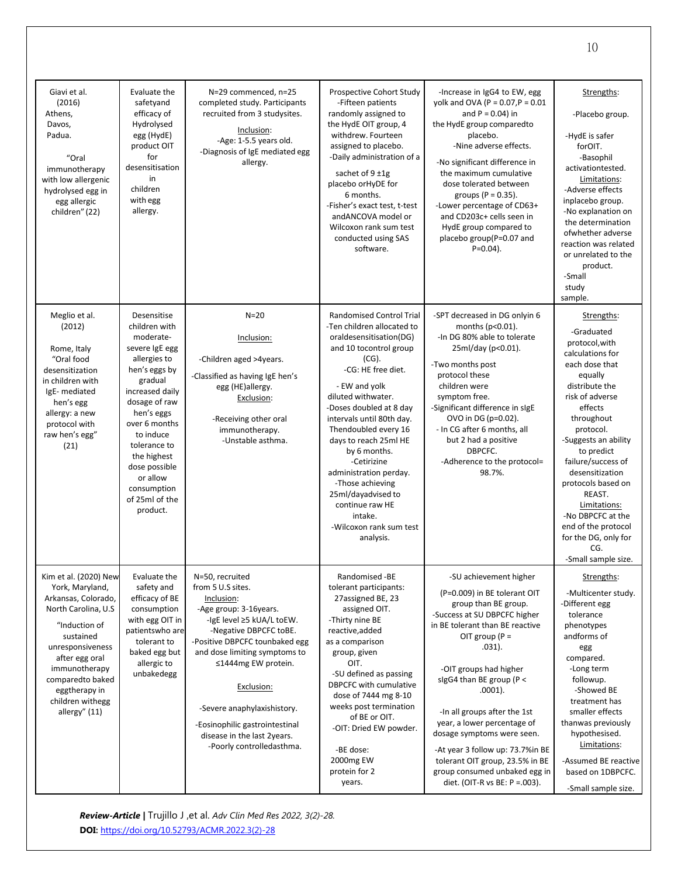| Giavi et al.<br>(2016)<br>Athens,<br>Davos,<br>Padua.<br>"Oral<br>immunotherapy<br>with low allergenic<br>hydrolysed egg in<br>egg allergic<br>children" (22)                                                                                          | Evaluate the<br>safetyand<br>efficacy of<br>Hydrolysed<br>egg (HydE)<br>product OIT<br>for<br>desensitisation<br>in<br>children<br>with egg<br>allergy.                                                                                                                                          | N=29 commenced, n=25<br>completed study. Participants<br>recruited from 3 studysites.<br>Inclusion:<br>-Age: 1-5.5 years old.<br>-Diagnosis of IgE mediated egg<br>allergy.                                                                                                                                                                                              | Prospective Cohort Study<br>-Fifteen patients<br>randomly assigned to<br>the HydE OIT group, 4<br>withdrew. Fourteen<br>assigned to placebo.<br>-Daily administration of a<br>sachet of $9 \pm 1g$<br>placebo or HyDE for<br>6 months.<br>-Fisher's exact test, t-test<br>andANCOVA model or<br>Wilcoxon rank sum test<br>conducted using SAS<br>software.                                                                                                                    | -Increase in IgG4 to EW, egg<br>yolk and OVA (P = $0.07$ , P = $0.01$<br>and $P = 0.04$ ) in<br>the HydE group comparedto<br>placebo.<br>-Nine adverse effects.<br>-No significant difference in<br>the maximum cumulative<br>dose tolerated between<br>groups ( $P = 0.35$ ).<br>-Lower percentage of CD63+<br>and CD203c+ cells seen in<br>HydE group compared to<br>placebo group(P=0.07 and<br>$P=0.04$ ).                                                                                    | Strengths:<br>-Placebo group.<br>-HydE is safer<br>forOIT.<br>-Basophil<br>activationtested.<br>Limitations:<br>-Adverse effects<br>inplacebo group.<br>-No explanation on<br>the determination<br>ofwhether adverse<br>reaction was related<br>or unrelated to the<br>product.<br>-Small<br>study<br>sample.                                                                                           |
|--------------------------------------------------------------------------------------------------------------------------------------------------------------------------------------------------------------------------------------------------------|--------------------------------------------------------------------------------------------------------------------------------------------------------------------------------------------------------------------------------------------------------------------------------------------------|--------------------------------------------------------------------------------------------------------------------------------------------------------------------------------------------------------------------------------------------------------------------------------------------------------------------------------------------------------------------------|-------------------------------------------------------------------------------------------------------------------------------------------------------------------------------------------------------------------------------------------------------------------------------------------------------------------------------------------------------------------------------------------------------------------------------------------------------------------------------|---------------------------------------------------------------------------------------------------------------------------------------------------------------------------------------------------------------------------------------------------------------------------------------------------------------------------------------------------------------------------------------------------------------------------------------------------------------------------------------------------|---------------------------------------------------------------------------------------------------------------------------------------------------------------------------------------------------------------------------------------------------------------------------------------------------------------------------------------------------------------------------------------------------------|
| Meglio et al.<br>(2012)<br>Rome, Italy<br>"Oral food<br>desensitization<br>in children with<br>IgE-mediated<br>hen's egg<br>allergy: a new<br>protocol with<br>raw hen's egg"<br>(21)                                                                  | Desensitise<br>children with<br>moderate-<br>severe IgE egg<br>allergies to<br>hen's eggs by<br>gradual<br>increased daily<br>dosage of raw<br>hen's eggs<br>over 6 months<br>to induce<br>tolerance to<br>the highest<br>dose possible<br>or allow<br>consumption<br>of 25ml of the<br>product. | $N=20$<br>Inclusion:<br>-Children aged >4years.<br>-Classified as having IgE hen's<br>egg (HE)allergy.<br>Exclusion:<br>-Receiving other oral<br>immunotherapy.<br>-Unstable asthma.                                                                                                                                                                                     | <b>Randomised Control Trial</b><br>-Ten children allocated to<br>oraldesensitisation(DG)<br>and 10 tocontrol group<br>$(CG)$ .<br>-CG: HE free diet.<br>- EW and yolk<br>diluted withwater.<br>-Doses doubled at 8 day<br>intervals until 80th day.<br>Thendoubled every 16<br>days to reach 25ml HE<br>by 6 months.<br>-Cetirizine<br>administration perday.<br>-Those achieving<br>25ml/dayadvised to<br>continue raw HE<br>intake.<br>-Wilcoxon rank sum test<br>analysis. | -SPT decreased in DG onlyin 6<br>months ( $p<0.01$ ).<br>-In DG 80% able to tolerate<br>25ml/day (p<0.01).<br>-Two months post<br>protocol these<br>children were<br>symptom free.<br>-Significant difference in sIgE<br>OVO in DG (p=0.02).<br>- In CG after 6 months, all<br>but 2 had a positive<br>DBPCFC.<br>-Adherence to the protocol=<br>98.7%.                                                                                                                                           | Strengths:<br>-Graduated<br>protocol, with<br>calculations for<br>each dose that<br>equally<br>distribute the<br>risk of adverse<br>effects<br>throughout<br>protocol.<br>-Suggests an ability<br>to predict<br>failure/success of<br>desensitization<br>protocols based on<br>REAST.<br>Limitations:<br>-No DBPCFC at the<br>end of the protocol<br>for the DG, only for<br>CG.<br>-Small sample size. |
| Kim et al. (2020) New<br>York, Maryland,<br>Arkansas, Colorado,<br>North Carolina, U.S.<br>"Induction of<br>sustained<br>unresponsiveness<br>after egg oral<br>immunotherapy<br>comparedto baked<br>eggtherapy in<br>children withegg<br>allergy" (11) | Evaluate the<br>safety and<br>efficacy of BE<br>consumption<br>with egg OIT in<br>patientswho are<br>tolerant to<br>baked egg but<br>allergic to<br>unbakedegg                                                                                                                                   | N=50, recruited<br>from 5 U.S sites.<br>Inclusion:<br>-Age group: 3-16years.<br>-IgE level ≥5 kUA/L toEW.<br>-Negative DBPCFC toBE.<br>-Positive DBPCFC tounbaked egg<br>and dose limiting symptoms to<br>≤1444mg EW protein.<br>Exclusion:<br>-Severe anaphylaxishistory.<br>-Eosinophilic gastrointestinal<br>disease in the last 2years.<br>-Poorly controlledasthma. | Randomised -BE<br>tolerant participants:<br>27assigned BE, 23<br>assigned OIT.<br>-Thirty nine BE<br>reactive, added<br>as a comparison<br>group, given<br>OIT.<br>-SU defined as passing<br><b>DBPCFC</b> with cumulative<br>dose of 7444 mg 8-10<br>weeks post termination<br>of BE or OIT.<br>-OIT: Dried EW powder.<br>-BE dose:<br>2000mg EW<br>protein for 2<br>years.                                                                                                  | -SU achievement higher<br>(P=0.009) in BE tolerant OIT<br>group than BE group.<br>-Success at SU DBPCFC higher<br>in BE tolerant than BE reactive<br>OIT group ( $P =$<br>$.031$ ).<br>-OIT groups had higher<br>sigG4 than BE group (P <<br>$.0001$ ).<br>-In all groups after the 1st<br>year, a lower percentage of<br>dosage symptoms were seen.<br>-At year 3 follow up: 73.7%in BE<br>tolerant OIT group, 23.5% in BE<br>group consumed unbaked egg in<br>diet. (OIT-R vs BE: $P = .003$ ). | Strengths:<br>-Multicenter study.<br>-Different egg<br>tolerance<br>phenotypes<br>andforms of<br>egg<br>compared.<br>-Long term<br>followup.<br>-Showed BE<br>treatment has<br>smaller effects<br>thanwas previously<br>hypothesised.<br>Limitations:<br>-Assumed BE reactive<br>based on 1DBPCFC.<br>-Small sample size.                                                                               |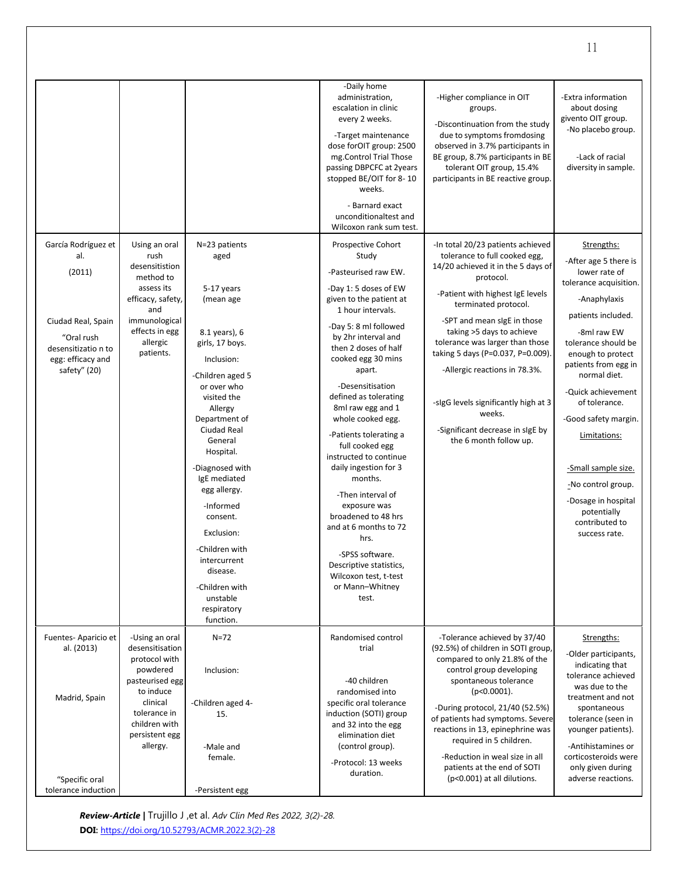|                                                                                                                                      |                                                                                                                                                                           |                                                                                                                                                                                                                                                                                                                                                                                                                           | -Daily home<br>administration,<br>escalation in clinic<br>every 2 weeks.<br>-Target maintenance<br>dose forOIT group: 2500<br>mg.Control Trial Those<br>passing DBPCFC at 2years<br>stopped BE/OIT for 8-10<br>weeks.<br>- Barnard exact<br>unconditionaltest and<br>Wilcoxon rank sum test.                                                                                                                                                                                                                                                                                                                                           | -Higher compliance in OIT<br>groups.<br>-Discontinuation from the study<br>due to symptoms fromdosing<br>observed in 3.7% participants in<br>BE group, 8.7% participants in BE<br>tolerant OIT group, 15.4%<br>participants in BE reactive group.                                                                                                                                                                                                                      | -Extra information<br>about dosing<br>givento OIT group.<br>-No placebo group.<br>-Lack of racial<br>diversity in sample.                                                                                                                                                                                                                                                                                                    |
|--------------------------------------------------------------------------------------------------------------------------------------|---------------------------------------------------------------------------------------------------------------------------------------------------------------------------|---------------------------------------------------------------------------------------------------------------------------------------------------------------------------------------------------------------------------------------------------------------------------------------------------------------------------------------------------------------------------------------------------------------------------|----------------------------------------------------------------------------------------------------------------------------------------------------------------------------------------------------------------------------------------------------------------------------------------------------------------------------------------------------------------------------------------------------------------------------------------------------------------------------------------------------------------------------------------------------------------------------------------------------------------------------------------|------------------------------------------------------------------------------------------------------------------------------------------------------------------------------------------------------------------------------------------------------------------------------------------------------------------------------------------------------------------------------------------------------------------------------------------------------------------------|------------------------------------------------------------------------------------------------------------------------------------------------------------------------------------------------------------------------------------------------------------------------------------------------------------------------------------------------------------------------------------------------------------------------------|
| García Rodríguez et<br>al.<br>(2011)<br>Ciudad Real, Spain<br>"Oral rush<br>desensitizatio n to<br>egg: efficacy and<br>safety" (20) | Using an oral<br>rush<br>desensitistion<br>method to<br>assess its<br>efficacy, safety,<br>and<br>immunological<br>effects in egg<br>allergic<br>patients.                | N=23 patients<br>aged<br>5-17 years<br>(mean age<br>8.1 years), 6<br>girls, 17 boys.<br>Inclusion:<br>-Children aged 5<br>or over who<br>visited the<br>Allergy<br>Department of<br>Ciudad Real<br>General<br>Hospital.<br>-Diagnosed with<br>IgE mediated<br>egg allergy.<br>-Informed<br>consent.<br>Exclusion:<br>-Children with<br>intercurrent<br>disease.<br>-Children with<br>unstable<br>respiratory<br>function. | Prospective Cohort<br>Study<br>-Pasteurised raw EW.<br>-Day 1: 5 doses of EW<br>given to the patient at<br>1 hour intervals.<br>-Day 5: 8 ml followed<br>by 2hr interval and<br>then 2 doses of half<br>cooked egg 30 mins<br>apart.<br>-Desensitisation<br>defined as tolerating<br>8ml raw egg and 1<br>whole cooked egg.<br>-Patients tolerating a<br>full cooked egg<br>instructed to continue<br>daily ingestion for 3<br>months.<br>-Then interval of<br>exposure was<br>broadened to 48 hrs<br>and at 6 months to 72<br>hrs.<br>-SPSS software.<br>Descriptive statistics,<br>Wilcoxon test, t-test<br>or Mann-Whitney<br>test. | -In total 20/23 patients achieved<br>tolerance to full cooked egg,<br>14/20 achieved it in the 5 days of<br>protocol.<br>-Patient with highest IgE levels<br>terminated protocol.<br>-SPT and mean sigE in those<br>taking >5 days to achieve<br>tolerance was larger than those<br>taking 5 days (P=0.037, P=0.009).<br>-Allergic reactions in 78.3%.<br>-sigG levels significantly high at 3<br>weeks.<br>-Significant decrease in sIgE by<br>the 6 month follow up. | Strengths:<br>-After age 5 there is<br>lower rate of<br>tolerance acquisition.<br>-Anaphylaxis<br>patients included.<br>-8ml raw EW<br>tolerance should be<br>enough to protect<br>patients from egg in<br>normal diet.<br>-Quick achievement<br>of tolerance.<br>-Good safety margin.<br>Limitations:<br>-Small sample size.<br>-No control group.<br>-Dosage in hospital<br>potentially<br>contributed to<br>success rate. |
| Fuentes-Aparicio et<br>al. (2013)<br>Madrid, Spain<br>"Specific oral                                                                 | -Using an oral<br>desensitisation<br>protocol with<br>powdered<br>pasteurised egg<br>to induce<br>clinical<br>tolerance in<br>children with<br>persistent egg<br>allergy. | $N = 72$<br>Inclusion:<br>-Children aged 4-<br>15.<br>-Male and<br>female.                                                                                                                                                                                                                                                                                                                                                | Randomised control<br>trial<br>-40 children<br>randomised into<br>specific oral tolerance<br>induction (SOTI) group<br>and 32 into the egg<br>elimination diet<br>(control group).<br>-Protocol: 13 weeks<br>duration.                                                                                                                                                                                                                                                                                                                                                                                                                 | -Tolerance achieved by 37/40<br>(92.5%) of children in SOTI group,<br>compared to only 21.8% of the<br>control group developing<br>spontaneous tolerance<br>$(p<0.0001)$ .<br>-During protocol, 21/40 (52.5%)<br>of patients had symptoms. Severe<br>reactions in 13, epinephrine was<br>required in 5 children.<br>-Reduction in weal size in all<br>patients at the end of SOTI<br>(p<0.001) at all dilutions.                                                       | Strengths:<br>-Older participants,<br>indicating that<br>tolerance achieved<br>was due to the<br>treatment and not<br>spontaneous<br>tolerance (seen in<br>younger patients).<br>-Antihistamines or<br>corticosteroids were<br>only given during<br>adverse reactions.                                                                                                                                                       |
| tolerance induction                                                                                                                  |                                                                                                                                                                           | -Persistent egg                                                                                                                                                                                                                                                                                                                                                                                                           |                                                                                                                                                                                                                                                                                                                                                                                                                                                                                                                                                                                                                                        |                                                                                                                                                                                                                                                                                                                                                                                                                                                                        |                                                                                                                                                                                                                                                                                                                                                                                                                              |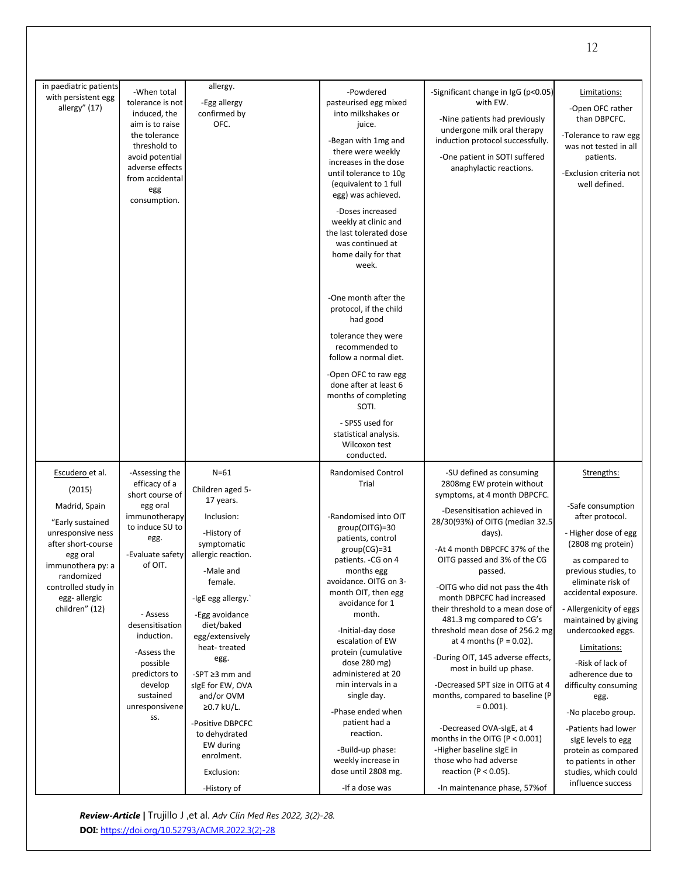| in paediatric patients<br>with persistent egg<br>allergy" (17)                                                                                                                                                    | -When total<br>tolerance is not<br>induced, the<br>aim is to raise<br>the tolerance<br>threshold to<br>avoid potential<br>adverse effects<br>from accidental<br>egg<br>consumption.                                                                                                 | allergy.<br>-Egg allergy<br>confirmed by<br>OFC.                                                                                                                                                                                                                                                                                                                                                       | -Powdered<br>pasteurised egg mixed<br>into milkshakes or<br>juice.<br>-Began with 1mg and<br>there were weekly<br>increases in the dose<br>until tolerance to 10g<br>(equivalent to 1 full<br>egg) was achieved.<br>-Doses increased<br>weekly at clinic and<br>the last tolerated dose<br>was continued at<br>home daily for that<br>week.<br>-One month after the<br>protocol, if the child<br>had good<br>tolerance they were<br>recommended to<br>follow a normal diet.<br>-Open OFC to raw egg<br>done after at least 6<br>months of completing<br>SOTI.<br>- SPSS used for<br>statistical analysis.<br>Wilcoxon test<br>conducted. | -Significant change in IgG (p<0.05)<br>with EW.<br>-Nine patients had previously<br>undergone milk oral therapy<br>induction protocol successfully.<br>-One patient in SOTI suffered<br>anaphylactic reactions.                                                                                                                                                                                                                                                                                                                                                                                                                                                                                                                                                                                | Limitations:<br>-Open OFC rather<br>than DBPCFC.<br>-Tolerance to raw egg<br>was not tested in all<br>patients.<br>-Exclusion criteria not<br>well defined.                                                                                                                                                                                                                                                                                                                                                           |
|-------------------------------------------------------------------------------------------------------------------------------------------------------------------------------------------------------------------|-------------------------------------------------------------------------------------------------------------------------------------------------------------------------------------------------------------------------------------------------------------------------------------|--------------------------------------------------------------------------------------------------------------------------------------------------------------------------------------------------------------------------------------------------------------------------------------------------------------------------------------------------------------------------------------------------------|------------------------------------------------------------------------------------------------------------------------------------------------------------------------------------------------------------------------------------------------------------------------------------------------------------------------------------------------------------------------------------------------------------------------------------------------------------------------------------------------------------------------------------------------------------------------------------------------------------------------------------------|------------------------------------------------------------------------------------------------------------------------------------------------------------------------------------------------------------------------------------------------------------------------------------------------------------------------------------------------------------------------------------------------------------------------------------------------------------------------------------------------------------------------------------------------------------------------------------------------------------------------------------------------------------------------------------------------------------------------------------------------------------------------------------------------|-----------------------------------------------------------------------------------------------------------------------------------------------------------------------------------------------------------------------------------------------------------------------------------------------------------------------------------------------------------------------------------------------------------------------------------------------------------------------------------------------------------------------|
| Escudero et al.<br>(2015)<br>Madrid, Spain<br>"Early sustained<br>unresponsive ness<br>after short-course<br>egg oral<br>immunothera py: a<br>randomized<br>controlled study in<br>egg-allergic<br>children" (12) | -Assessing the<br>efficacy of a<br>short course of<br>egg oral<br>immunotherapy<br>to induce SU to<br>egg.<br>-Evaluate safety<br>of OIT.<br>- Assess<br>desensitisation<br>induction.<br>-Assess the<br>possible<br>predictors to<br>develop<br>sustained<br>unresponsivene<br>SS. | $N=61$<br>Children aged 5-<br>17 years.<br>Inclusion:<br>-History of<br>symptomatic<br>allergic reaction.<br>-Male and<br>female.<br>-IgE egg allergy.<br>-Egg avoidance<br>diet/baked<br>egg/extensively<br>heat-treated<br>egg.<br>-SPT $\geq$ 3 mm and<br>sigE for EW, OVA<br>and/or OVM<br>≥0.7 kU/L.<br>-Positive DBPCFC<br>to dehydrated<br>EW during<br>enrolment.<br>Exclusion:<br>-History of | <b>Randomised Control</b><br>Trial<br>-Randomised into OIT<br>group(OITG)=30<br>patients, control<br>$group(CG)=31$<br>patients. - CG on 4<br>months egg<br>avoidance. OITG on 3-<br>month OIT, then egg<br>avoidance for 1<br>month.<br>-Initial-day dose<br>escalation of EW<br>protein (cumulative<br>dose $280$ mg)<br>administered at 20<br>min intervals in a<br>single day.<br>-Phase ended when<br>patient had a<br>reaction.<br>-Build-up phase:<br>weekly increase in<br>dose until 2808 mg.<br>-If a dose was                                                                                                                 | -SU defined as consuming<br>2808mg EW protein without<br>symptoms, at 4 month DBPCFC.<br>-Desensitisation achieved in<br>28/30(93%) of OITG (median 32.5<br>days).<br>-At 4 month DBPCFC 37% of the<br>OITG passed and 3% of the CG<br>passed.<br>-OITG who did not pass the 4th<br>month DBPCFC had increased<br>their threshold to a mean dose of<br>481.3 mg compared to CG's<br>threshold mean dose of 256.2 mg<br>at 4 months ( $P = 0.02$ ).<br>-During OIT, 145 adverse effects,<br>most in build up phase.<br>-Decreased SPT size in OITG at 4<br>months, compared to baseline (P<br>$= 0.001$ ).<br>-Decreased OVA-sigE, at 4<br>months in the OITG ( $P < 0.001$ )<br>-Higher baseline sigE in<br>those who had adverse<br>reaction ( $P < 0.05$ ).<br>-In maintenance phase, 57% of | Strengths:<br>-Safe consumption<br>after protocol.<br>- Higher dose of egg<br>(2808 mg protein)<br>as compared to<br>previous studies, to<br>eliminate risk of<br>accidental exposure.<br>- Allergenicity of eggs<br>maintained by giving<br>undercooked eggs.<br>Limitations:<br>-Risk of lack of<br>adherence due to<br>difficulty consuming<br>egg.<br>-No placebo group.<br>-Patients had lower<br>sigE levels to egg<br>protein as compared<br>to patients in other<br>studies, which could<br>influence success |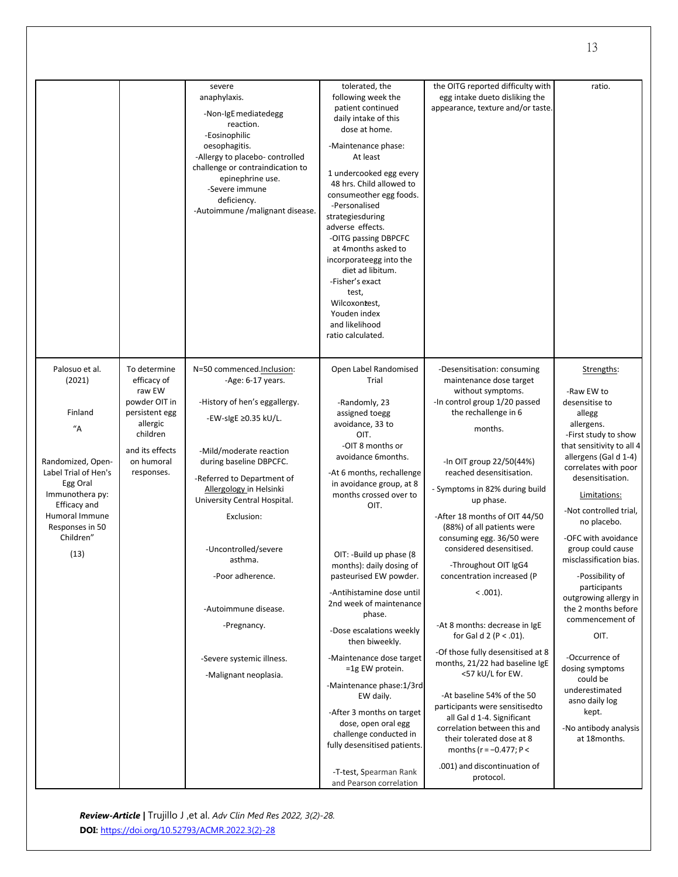|                                                       |                                                         | severe<br>anaphylaxis.<br>-Non-IgE mediatedegg<br>reaction.<br>-Eosinophilic<br>oesophagitis.<br>-Allergy to placebo- controlled<br>challenge or contraindication to<br>epinephrine use.<br>-Severe immune<br>deficiency.<br>-Autoimmune /malignant disease. | tolerated, the<br>following week the<br>patient continued<br>daily intake of this<br>dose at home.<br>-Maintenance phase:<br>At least<br>1 undercooked egg every<br>48 hrs. Child allowed to<br>consumeother egg foods.<br>-Personalised<br>strategiesduring<br>adverse effects.<br>-OITG passing DBPCFC<br>at 4months asked to<br>incorporateegg into the<br>diet ad libitum.<br>-Fisher's exact<br>test,<br>Wilcoxontest,<br>Youden index<br>and likelihood<br>ratio calculated. | the OITG reported difficulty with<br>egg intake dueto disliking the<br>appearance, texture and/or taste.               | ratio.                                                                                         |
|-------------------------------------------------------|---------------------------------------------------------|--------------------------------------------------------------------------------------------------------------------------------------------------------------------------------------------------------------------------------------------------------------|------------------------------------------------------------------------------------------------------------------------------------------------------------------------------------------------------------------------------------------------------------------------------------------------------------------------------------------------------------------------------------------------------------------------------------------------------------------------------------|------------------------------------------------------------------------------------------------------------------------|------------------------------------------------------------------------------------------------|
| Palosuo et al.<br>(2021)                              | To determine<br>efficacy of<br>raw EW                   | N=50 commenced.Inclusion:<br>-Age: 6-17 years.                                                                                                                                                                                                               | Open Label Randomised<br>Trial                                                                                                                                                                                                                                                                                                                                                                                                                                                     | -Desensitisation: consuming<br>maintenance dose target<br>without symptoms.                                            | Strengths:<br>-Raw EW to                                                                       |
| Finland<br>"A"                                        | powder OIT in<br>persistent egg<br>allergic<br>children | -History of hen's eggallergy.<br>-EW-sIgE ≥0.35 kU/L.                                                                                                                                                                                                        | -Randomly, 23<br>assigned toegg<br>avoidance, 33 to<br>OIT.                                                                                                                                                                                                                                                                                                                                                                                                                        | -In control group 1/20 passed<br>the rechallenge in 6<br>months.                                                       | desensitise to<br>allegg<br>allergens.<br>-First study to show                                 |
| Randomized, Open-<br>Label Trial of Hen's<br>Egg Oral | and its effects<br>on humoral<br>responses.             | -Mild/moderate reaction<br>during baseline DBPCFC.<br>-Referred to Department of                                                                                                                                                                             | -OIT 8 months or<br>avoidance 6months.<br>-At 6 months, rechallenge<br>in avoidance group, at 8                                                                                                                                                                                                                                                                                                                                                                                    | -In OIT group 22/50(44%)<br>reached desensitisation.                                                                   | that sensitivity to all 4<br>allergens (Gal d 1-4)<br>correlates with poor<br>desensitisation. |
| Immunothera py:<br>Efficacy and<br>Humoral Immune     |                                                         | Allergology in Helsinki<br>University Central Hospital.<br>Exclusion:                                                                                                                                                                                        | months crossed over to<br>OIT.                                                                                                                                                                                                                                                                                                                                                                                                                                                     | - Symptoms in 82% during build<br>up phase.<br>-After 18 months of OIT 44/50                                           | Limitations:<br>-Not controlled trial,<br>no placebo.                                          |
| Responses in 50<br>Children"<br>(13)                  |                                                         | -Uncontrolled/severe                                                                                                                                                                                                                                         | OIT: -Build up phase (8                                                                                                                                                                                                                                                                                                                                                                                                                                                            | (88%) of all patients were<br>consuming egg. 36/50 were<br>considered desensitised.                                    | -OFC with avoidance<br>group could cause                                                       |
|                                                       |                                                         | asthma.<br>-Poor adherence.                                                                                                                                                                                                                                  | months): daily dosing of<br>pasteurised EW powder.                                                                                                                                                                                                                                                                                                                                                                                                                                 | -Throughout OIT IgG4<br>concentration increased (P                                                                     | misclassification bias.<br>-Possibility of<br>participants                                     |
|                                                       |                                                         | -Autoimmune disease.                                                                                                                                                                                                                                         | -Antihistamine dose until<br>2nd week of maintenance<br>phase.                                                                                                                                                                                                                                                                                                                                                                                                                     | $0.001$ .                                                                                                              | outgrowing allergy in<br>the 2 months before<br>commencement of                                |
|                                                       |                                                         | -Pregnancy.                                                                                                                                                                                                                                                  | -Dose escalations weekly<br>then biweekly.                                                                                                                                                                                                                                                                                                                                                                                                                                         | -At 8 months: decrease in IgE<br>for Gal d $2 (P < .01)$ .<br>-Of those fully desensitised at 8                        | OIT.                                                                                           |
|                                                       |                                                         | -Severe systemic illness.<br>-Malignant neoplasia.                                                                                                                                                                                                           | -Maintenance dose target<br>=1g EW protein.                                                                                                                                                                                                                                                                                                                                                                                                                                        | months, 21/22 had baseline IgE<br><57 kU/L for EW.                                                                     | -Occurrence of<br>dosing symptoms<br>could be                                                  |
|                                                       |                                                         |                                                                                                                                                                                                                                                              | -Maintenance phase: 1/3rd<br>EW daily.<br>-After 3 months on target                                                                                                                                                                                                                                                                                                                                                                                                                | -At baseline 54% of the 50<br>participants were sensitisedto                                                           | underestimated<br>asno daily log<br>kept.                                                      |
|                                                       |                                                         |                                                                                                                                                                                                                                                              | dose, open oral egg<br>challenge conducted in<br>fully desensitised patients.                                                                                                                                                                                                                                                                                                                                                                                                      | all Gal d 1-4. Significant<br>correlation between this and<br>their tolerated dose at 8<br>months ( $r = -0.477$ ; P < | -No antibody analysis<br>at 18months.                                                          |
|                                                       |                                                         |                                                                                                                                                                                                                                                              | -T-test, Spearman Rank<br>and Pearson correlation                                                                                                                                                                                                                                                                                                                                                                                                                                  | .001) and discontinuation of<br>protocol.                                                                              |                                                                                                |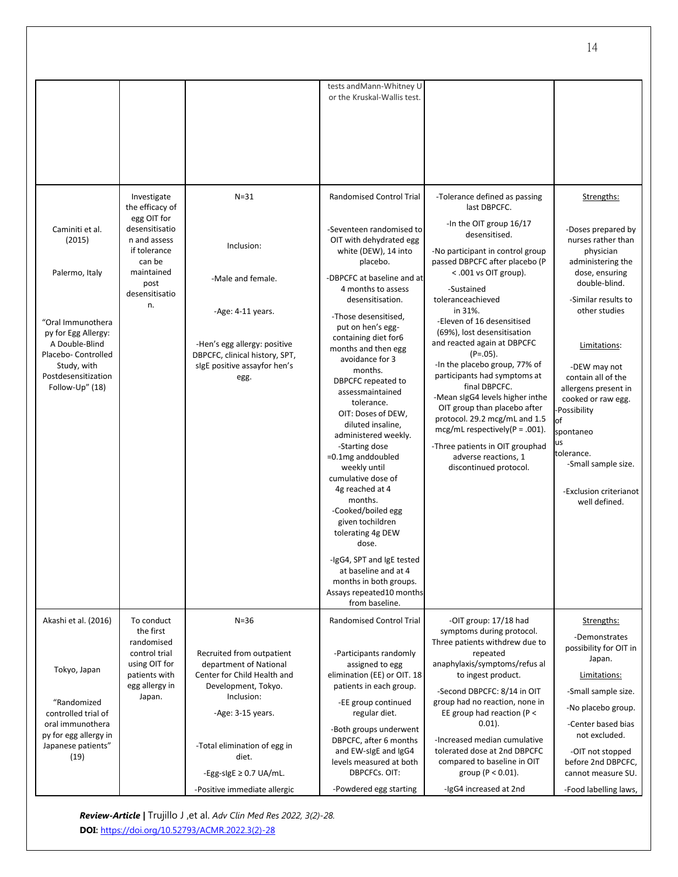|                                                                                                                                                                                           |                                                                                                                                                         |                                                                                                                                                                                                 | tests and Mann-Whitney U<br>or the Kruskal-Wallis test.                                                                                                                                                                                                                                                                                                                                                                                                                                                                                                                                                                                                                                                                                                                    |                                                                                                                                                                                                                                                                                                                                                                                                                                                                                                                                                                                                                                                                      |                                                                                                                                                                                                                                                                                                                                                                                                 |
|-------------------------------------------------------------------------------------------------------------------------------------------------------------------------------------------|---------------------------------------------------------------------------------------------------------------------------------------------------------|-------------------------------------------------------------------------------------------------------------------------------------------------------------------------------------------------|----------------------------------------------------------------------------------------------------------------------------------------------------------------------------------------------------------------------------------------------------------------------------------------------------------------------------------------------------------------------------------------------------------------------------------------------------------------------------------------------------------------------------------------------------------------------------------------------------------------------------------------------------------------------------------------------------------------------------------------------------------------------------|----------------------------------------------------------------------------------------------------------------------------------------------------------------------------------------------------------------------------------------------------------------------------------------------------------------------------------------------------------------------------------------------------------------------------------------------------------------------------------------------------------------------------------------------------------------------------------------------------------------------------------------------------------------------|-------------------------------------------------------------------------------------------------------------------------------------------------------------------------------------------------------------------------------------------------------------------------------------------------------------------------------------------------------------------------------------------------|
| Caminiti et al.<br>(2015)<br>Palermo, Italy<br>"Oral Immunothera<br>py for Egg Allergy:<br>A Double-Blind<br>Placebo- Controlled<br>Study, with<br>Postdesensitization<br>Follow-Up" (18) | Investigate<br>the efficacy of<br>egg OIT for<br>desensitisatio<br>n and assess<br>if tolerance<br>can be<br>maintained<br>post<br>desensitisatio<br>n. | $N = 31$<br>Inclusion:<br>-Male and female.<br>-Age: 4-11 years.<br>-Hen's egg allergy: positive<br>DBPCFC, clinical history, SPT,<br>sigE positive assayfor hen's<br>egg.                      | <b>Randomised Control Trial</b><br>-Seventeen randomised to<br>OIT with dehydrated egg<br>white (DEW), 14 into<br>placebo.<br>-DBPCFC at baseline and at<br>4 months to assess<br>desensitisation.<br>-Those desensitised.<br>put on hen's egg-<br>containing diet for6<br>months and then egg<br>avoidance for 3<br>months.<br>DBPCFC repeated to<br>assessmaintained<br>tolerance.<br>OIT: Doses of DEW,<br>diluted insaline,<br>administered weekly.<br>-Starting dose<br>$=0.1$ mg anddoubled<br>weekly until<br>cumulative dose of<br>4g reached at 4<br>months.<br>-Cooked/boiled egg<br>given tochildren<br>tolerating 4g DEW<br>dose.<br>-IgG4, SPT and IgE tested<br>at baseline and at 4<br>months in both groups.<br>Assays repeated10 months<br>from baseline. | -Tolerance defined as passing<br>last DBPCFC.<br>-In the OIT group 16/17<br>desensitised.<br>-No participant in control group<br>passed DBPCFC after placebo (P<br>$<$ .001 vs OIT group).<br>-Sustained<br>toleranceachieved<br>in 31%.<br>-Eleven of 16 desensitised<br>(69%), lost desensitisation<br>and reacted again at DBPCFC<br>$(P=.05)$ .<br>-In the placebo group, 77% of<br>participants had symptoms at<br>final DBPCFC.<br>-Mean sigG4 levels higher inthe<br>OIT group than placebo after<br>protocol. 29.2 mcg/mL and 1.5<br>mcg/mL respectively( $P = .001$ ).<br>-Three patients in OIT grouphad<br>adverse reactions, 1<br>discontinued protocol. | Strengths:<br>-Doses prepared by<br>nurses rather than<br>physician<br>administering the<br>dose, ensuring<br>double-blind.<br>-Similar results to<br>other studies<br>Limitations:<br>-DEW may not<br>contain all of the<br>allergens present in<br>cooked or raw egg.<br>Possibility<br>of<br>spontaneo<br>us<br>tolerance.<br>-Small sample size.<br>-Exclusion criterianot<br>well defined. |
| Akashi et al. (2016)<br>Tokyo, Japan<br>"Randomized<br>controlled trial of<br>oral immunothera<br>py for egg allergy in<br>Japanese patients"<br>(19)                                     | To conduct<br>the first<br>randomised<br>control trial<br>using OIT for<br>patients with<br>egg allergy in<br>Japan.                                    | $N=36$<br>Recruited from outpatient<br>department of National<br>Center for Child Health and<br>Development, Tokyo.<br>Inclusion:<br>-Age: 3-15 years.<br>-Total elimination of egg in<br>diet. | <b>Randomised Control Trial</b><br>-Participants randomly<br>assigned to egg<br>elimination (EE) or OIT. 18<br>patients in each group.<br>-EE group continued<br>regular diet.<br>-Both groups underwent<br>DBPCFC, after 6 months<br>and EW-sigE and IgG4<br>levels measured at both                                                                                                                                                                                                                                                                                                                                                                                                                                                                                      | -OIT group: 17/18 had<br>symptoms during protocol.<br>Three patients withdrew due to<br>repeated<br>anaphylaxis/symptoms/refus al<br>to ingest product.<br>-Second DBPCFC: 8/14 in OIT<br>group had no reaction, none in<br>EE group had reaction (P <<br>$0.01$ ).<br>-Increased median cumulative<br>tolerated dose at 2nd DBPCFC<br>compared to baseline in OIT                                                                                                                                                                                                                                                                                                   | Strengths:<br>-Demonstrates<br>possibility for OIT in<br>Japan.<br>Limitations:<br>-Small sample size.<br>-No placebo group.<br>-Center based bias<br>not excluded.<br>-OIT not stopped<br>before 2nd DBPCFC,                                                                                                                                                                                   |
|                                                                                                                                                                                           |                                                                                                                                                         | -Egg-sigE $\geq$ 0.7 UA/mL.<br>-Positive immediate allergic                                                                                                                                     | DBPCFCs. OIT:<br>-Powdered egg starting                                                                                                                                                                                                                                                                                                                                                                                                                                                                                                                                                                                                                                                                                                                                    | group ( $P < 0.01$ ).<br>-IgG4 increased at 2nd                                                                                                                                                                                                                                                                                                                                                                                                                                                                                                                                                                                                                      | cannot measure SU.<br>-Food labelling laws,                                                                                                                                                                                                                                                                                                                                                     |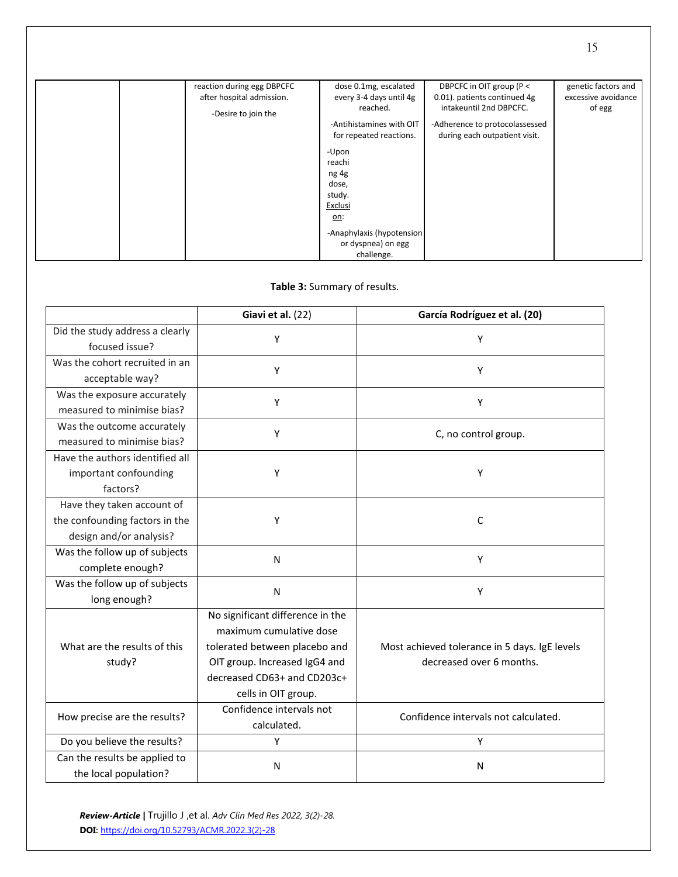| reaction during egg DBPCFC<br>after hospital admission.<br>-Desire to join the | dose 0.1mg, escalated<br>every 3-4 days until 4g<br>reached.<br>-Antihistamines with OIT<br>for repeated reactions.<br>-Upon<br>reachi<br>ng 4g<br>dose,<br>study.<br>Exclusi<br><u>on:</u><br>-Anaphylaxis (hypotension<br>or dyspnea) on egg<br>challenge. | DBPCFC in OIT group (P <<br>0.01). patients continued 4g<br>intakeuntil 2nd DBPCFC.<br>-Adherence to protocolassessed<br>during each outpatient visit. | genetic factors and<br>excessive avoidance<br>of egg |
|--------------------------------------------------------------------------------|--------------------------------------------------------------------------------------------------------------------------------------------------------------------------------------------------------------------------------------------------------------|--------------------------------------------------------------------------------------------------------------------------------------------------------|------------------------------------------------------|

## **Table 3:** Summary of results.

|                                                                                         | Giavi et al. (22)                                                                                                                                                                   | García Rodríguez et al. (20)                                              |
|-----------------------------------------------------------------------------------------|-------------------------------------------------------------------------------------------------------------------------------------------------------------------------------------|---------------------------------------------------------------------------|
| Did the study address a clearly<br>focused issue?                                       | Y                                                                                                                                                                                   | Υ                                                                         |
| Was the cohort recruited in an<br>acceptable way?                                       | Υ                                                                                                                                                                                   | Y                                                                         |
| Was the exposure accurately<br>measured to minimise bias?                               | Y                                                                                                                                                                                   | Υ                                                                         |
| Was the outcome accurately<br>measured to minimise bias?                                | Υ                                                                                                                                                                                   | C, no control group.                                                      |
| Have the authors identified all<br>important confounding<br>factors?                    | Υ                                                                                                                                                                                   | Y                                                                         |
| Have they taken account of<br>the confounding factors in the<br>design and/or analysis? | Υ                                                                                                                                                                                   | C                                                                         |
| Was the follow up of subjects<br>complete enough?                                       | N                                                                                                                                                                                   | Υ                                                                         |
| Was the follow up of subjects<br>long enough?                                           | N                                                                                                                                                                                   | Y                                                                         |
| What are the results of this<br>study?                                                  | No significant difference in the<br>maximum cumulative dose<br>tolerated between placebo and<br>OIT group. Increased IgG4 and<br>decreased CD63+ and CD203c+<br>cells in OIT group. | Most achieved tolerance in 5 days. IgE levels<br>decreased over 6 months. |
| How precise are the results?                                                            | Confidence intervals not<br>calculated.                                                                                                                                             | Confidence intervals not calculated.                                      |
| Do you believe the results?                                                             | Y                                                                                                                                                                                   | Y                                                                         |
| Can the results be applied to<br>the local population?                                  | N                                                                                                                                                                                   | N                                                                         |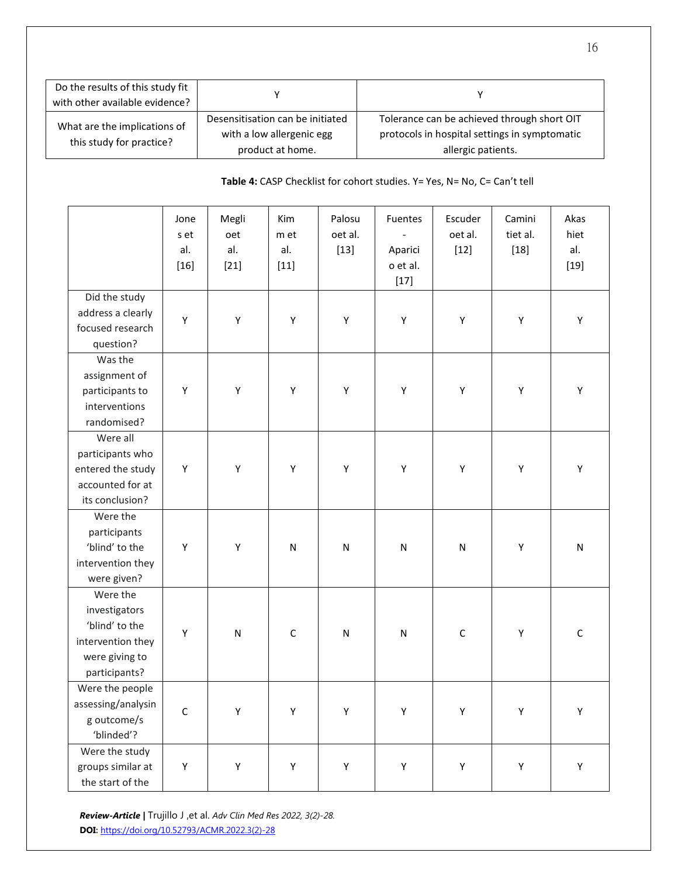| Do the results of this study fit<br>with other available evidence? |                                                                                   |                                                                                                                    |
|--------------------------------------------------------------------|-----------------------------------------------------------------------------------|--------------------------------------------------------------------------------------------------------------------|
| What are the implications of<br>this study for practice?           | Desensitisation can be initiated<br>with a low allergenic egg<br>product at home. | Tolerance can be achieved through short OIT<br>protocols in hospital settings in symptomatic<br>allergic patients. |

## **Table 4:** CASP Checklist for cohort studies. Y= Yes, N= No, C= Can't tell

|                                                                                                     | Jone<br>s et<br>al.<br>$[16]$ | Megli<br>oet<br>al.<br>$[21]$ | Kim<br>m et<br>al.<br>$[11]$ | Palosu<br>oet al.<br>$[13]$ | Fuentes<br>Aparici<br>o et al.<br>$[17]$ | Escuder<br>oet al.<br>$[12]$ | Camini<br>tiet al.<br>$[18]$ | Akas<br>hiet<br>al.<br>$[19]$ |
|-----------------------------------------------------------------------------------------------------|-------------------------------|-------------------------------|------------------------------|-----------------------------|------------------------------------------|------------------------------|------------------------------|-------------------------------|
| Did the study<br>address a clearly<br>focused research<br>question?                                 | Υ                             | Υ                             | Υ                            | Υ                           | Υ                                        | Υ                            | Υ                            | Υ                             |
| Was the<br>assignment of<br>participants to<br>interventions<br>randomised?                         | Υ                             | Υ                             | Υ                            | Υ                           | Υ                                        | Υ                            | Υ                            | Υ                             |
| Were all<br>participants who<br>entered the study<br>accounted for at<br>its conclusion?            | Υ                             | Υ                             | Υ                            | Υ                           | Υ                                        | Υ                            | Υ                            | Υ                             |
| Were the<br>participants<br>'blind' to the<br>intervention they<br>were given?                      | Y                             | Υ                             | $\mathsf{N}$                 | ${\sf N}$                   | ${\sf N}$                                | ${\sf N}$                    | Υ                            | ${\sf N}$                     |
| Were the<br>investigators<br>'blind' to the<br>intervention they<br>were giving to<br>participants? | Υ                             | N                             | $\mathsf C$                  | ${\sf N}$                   | $\mathsf{N}$                             | $\mathsf C$                  | Υ                            | $\mathsf C$                   |
| Were the people<br>assessing/analysin<br>g outcome/s<br>'blinded'?                                  | $\mathsf C$                   | Υ                             | Υ                            | Υ                           | Υ                                        | Υ                            | Υ                            | Υ                             |
| Were the study<br>groups similar at<br>the start of the                                             | Υ                             | Υ                             | Υ                            | Υ                           | Υ                                        | Υ                            | Υ                            | Υ                             |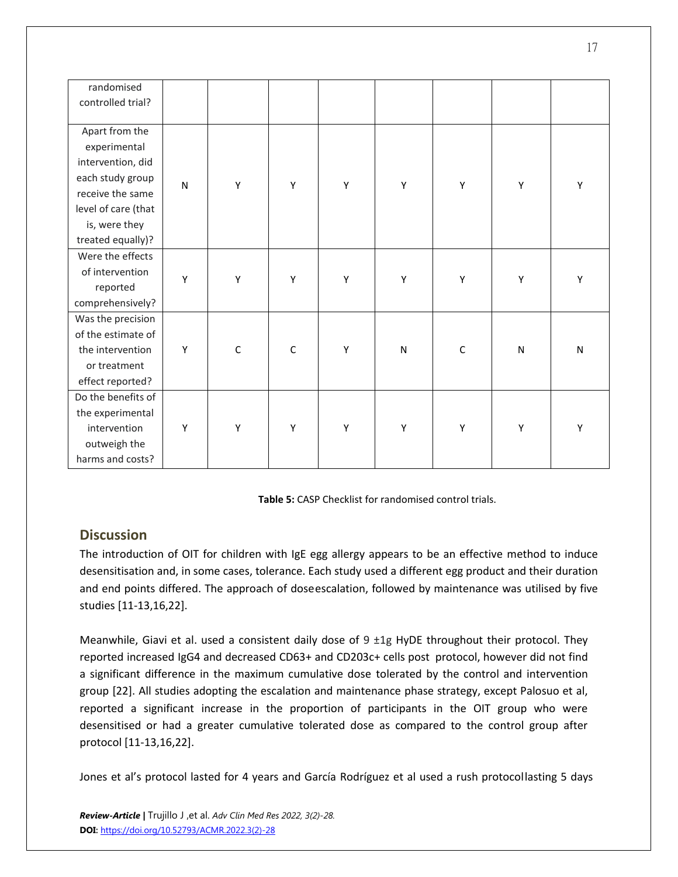| randomised          |              |             |              |   |              |             |           |           |
|---------------------|--------------|-------------|--------------|---|--------------|-------------|-----------|-----------|
| controlled trial?   |              |             |              |   |              |             |           |           |
|                     |              |             |              |   |              |             |           |           |
| Apart from the      |              |             |              |   |              |             |           |           |
| experimental        |              |             |              |   |              |             |           |           |
| intervention, did   |              |             |              |   |              |             |           |           |
| each study group    | $\mathsf{N}$ | Υ           | Υ            | Υ | Υ            | Υ           | Υ         | Υ         |
| receive the same    |              |             |              |   |              |             |           |           |
| level of care (that |              |             |              |   |              |             |           |           |
| is, were they       |              |             |              |   |              |             |           |           |
| treated equally)?   |              |             |              |   |              |             |           |           |
| Were the effects    |              |             |              |   |              |             |           |           |
| of intervention     | Υ            | Υ           | Υ            | Υ | Υ            | Υ           | Υ         | Υ         |
| reported            |              |             |              |   |              |             |           |           |
| comprehensively?    |              |             |              |   |              |             |           |           |
| Was the precision   |              |             |              |   |              |             |           |           |
| of the estimate of  |              |             |              |   |              |             |           |           |
| the intervention    | Υ            | $\mathsf C$ | $\mathsf{C}$ | Υ | $\mathsf{N}$ | $\mathsf C$ | ${\sf N}$ | ${\sf N}$ |
| or treatment        |              |             |              |   |              |             |           |           |
| effect reported?    |              |             |              |   |              |             |           |           |
| Do the benefits of  |              |             |              |   |              |             |           |           |
| the experimental    |              |             |              |   |              |             |           |           |
| intervention        | Υ            | Υ           | Υ            | Υ | Υ            | Υ           | Υ         | Υ         |
| outweigh the        |              |             |              |   |              |             |           |           |
| harms and costs?    |              |             |              |   |              |             |           |           |

**Table 5:** CASP Checklist for randomised control trials.

## **Discussion**

The introduction of OIT for children with IgE egg allergy appears to be an effective method to induce desensitisation and, in some cases, tolerance. Each study used a different egg product and their duration and end points differed. The approach of doseescalation, followed by maintenance was utilised by five studies [11-13,16,22].

Meanwhile, Giavi et al. used a consistent daily dose of  $9 \pm 1g$  HyDE throughout their protocol. They reported increased IgG4 and decreased CD63+ and CD203c+ cells post protocol, however did not find a significant difference in the maximum cumulative dose tolerated by the control and intervention group [22]. All studies adopting the escalation and maintenance phase strategy, except Palosuo et al, reported a significant increase in the proportion of participants in the OIT group who were desensitised or had a greater cumulative tolerated dose as compared to the control group after protocol [11-13,16,22].

Jones et al's protocol lasted for 4 years and García [Rodríguez e](https://onlinelibrary-wiley-com.ucc.idm.oclc.org/action/doSearch?ContribAuthorRaw=Garc%C3%ADa%2BRodr%C3%ADguez%2C%2BR)t al used a rush protocollasting 5 days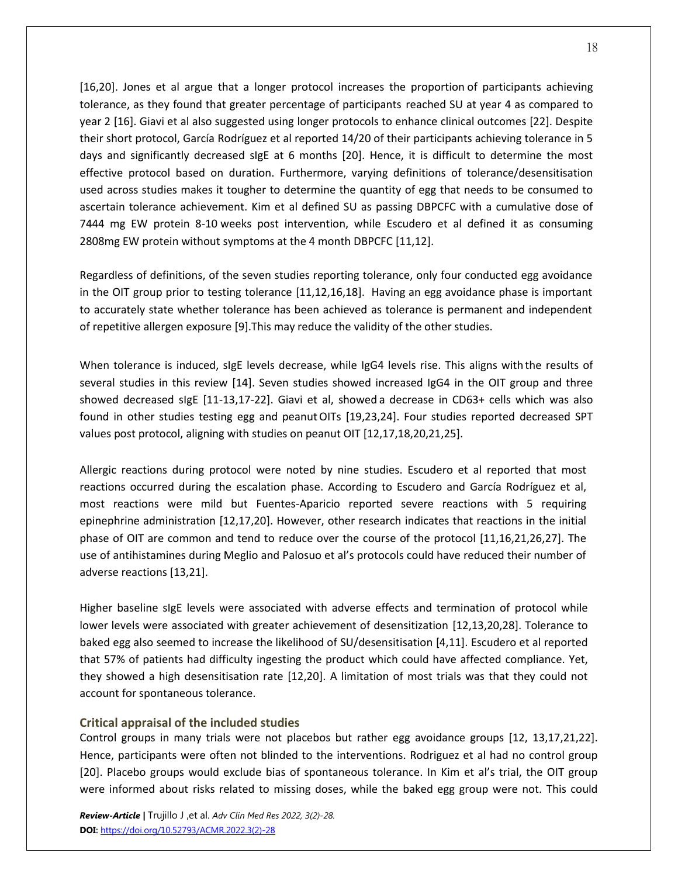[16,20]. Jones et al argue that a longer protocol increases the proportion of participants achieving tolerance, as they found that greater percentage of participants reached SU at year 4 as compared to year 2 [16]. Giavi et al also suggested using longer protocols to enhance clinical outcomes [22]. Despite their short protocol, García [Rodríguez e](https://onlinelibrary-wiley-com.ucc.idm.oclc.org/action/doSearch?ContribAuthorRaw=Garc%C3%ADa%2BRodr%C3%ADguez%2C%2BR)t al reported 14/20 of their participants achieving tolerance in 5 days and significantly decreased sIgE at 6 months [20]. Hence, it is difficult to determine the most effective protocol based on duration. Furthermore, varying definitions of tolerance/desensitisation used across studies makes it tougher to determine the quantity of egg that needs to be consumed to ascertain tolerance achievement. Kim et al defined SU as passing DBPCFC with a cumulative dose of 7444 mg EW protein 8-10 weeks post intervention, while Escudero et al defined it as consuming 2808mg EW protein without symptoms at the 4 month DBPCFC [11,12].

Regardless of definitions, of the seven studies reporting tolerance, only four conducted egg avoidance in the OIT group prior to testing tolerance [11,12,16,18]. Having an egg avoidance phase is important to accurately state whether tolerance has been achieved as tolerance is permanent and independent of repetitive allergen exposure [9].This may reduce the validity of the other studies.

When tolerance is induced, sIgE levels decrease, while IgG4 levels rise. This aligns withthe results of several studies in this review [14]. Seven studies showed increased IgG4 in the OIT group and three showed decreased sIgE [11-13,17-22]. Giavi et al, showed a decrease in CD63+ cells which was also found in other studies testing egg and peanut OITs [19,23,24]. Four studies reported decreased SPT values post protocol, aligning with studies on peanut OIT [12,17,18,20,21,25].

Allergic reactions during protocol were noted by nine studies. Escudero et al reported that most reactions occurred during the escalation phase. According to Escudero and García Rodríguez et al, most reactions were mild but Fuentes-Aparicio reported severe reactions with 5 requiring epinephrine administration [12,17,20]. However, other research indicates that reactions in the initial phase of OIT are common and tend to reduce over the course of the protocol [11,16,21,26,27]. The use of antihistamines during Meglio and Palosuo et al's protocols could have reduced their number of adverse reactions [13,21].

Higher baseline sIgE levels were associated with adverse effects and termination of protocol while lower levels were associated with greater achievement of desensitization [12,13,20,28]. Tolerance to baked egg also seemed to increase the likelihood of SU/desensitisation [4,11]. Escudero et al reported that 57% of patients had difficulty ingesting the product which could have affected compliance. Yet, they showed a high desensitisation rate [12,20]. A limitation of most trials was that they could not account for spontaneous tolerance.

#### **Critical appraisal of the included studies**

Control groups in many trials were not placebos but rather egg avoidance groups [12, 13,17,21,22]. Hence, participants were often not blinded to the interventions. Rodriguez et al had no control group [20]. Placebo groups would exclude bias of spontaneous tolerance. In Kim et al's trial, the OIT group were informed about risks related to missing doses, while the baked egg group were not. This could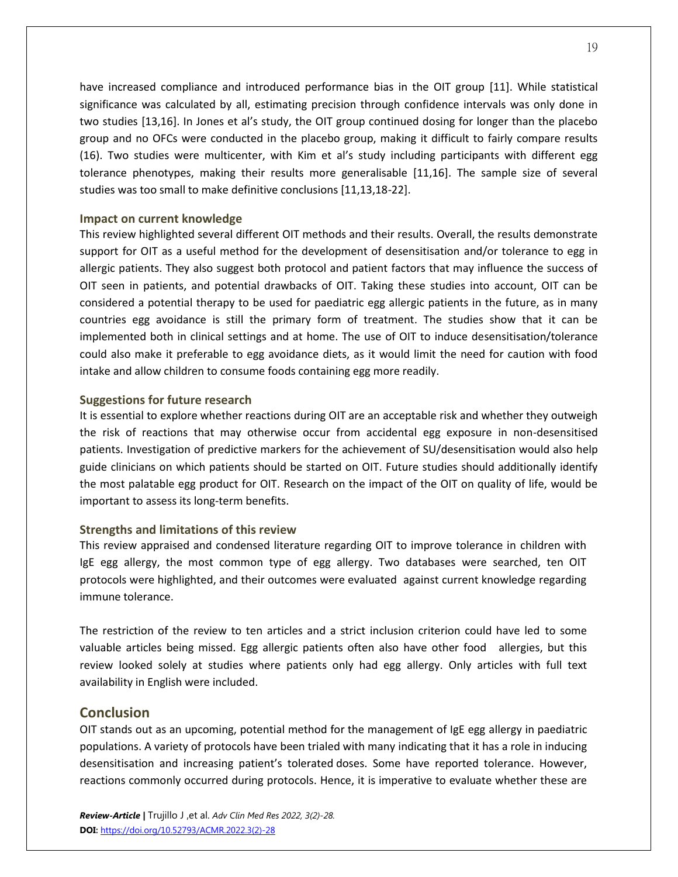have increased compliance and introduced performance bias in the OIT group [11]. While statistical significance was calculated by all, estimating precision through confidence intervals was only done in two studies [13,16]. In Jones et al's study, the OIT group continued dosing for longer than the placebo group and no OFCs were conducted in the placebo group, making it difficult to fairly compare results (16). Two studies were multicenter, with Kim et al's study including participants with different egg tolerance phenotypes, making their results more generalisable [11,16]. The sample size of several studies was too small to make definitive conclusions [11,13,18-22].

#### **Impact on current knowledge**

This review highlighted several different OIT methods and their results. Overall, the results demonstrate support for OIT as a useful method for the development of desensitisation and/or tolerance to egg in allergic patients. They also suggest both protocol and patient factors that may influence the success of OIT seen in patients, and potential drawbacks of OIT. Taking these studies into account, OIT can be considered a potential therapy to be used for paediatric egg allergic patients in the future, as in many countries egg avoidance is still the primary form of treatment. The studies show that it can be implemented both in clinical settings and at home. The use of OIT to induce desensitisation/tolerance could also make it preferable to egg avoidance diets, as it would limit the need for caution with food intake and allow children to consume foods containing egg more readily.

#### **Suggestions for future research**

It is essential to explore whether reactions during OIT are an acceptable risk and whether they outweigh the risk of reactions that may otherwise occur from accidental egg exposure in non-desensitised patients. Investigation of predictive markers for the achievement of SU/desensitisation would also help guide clinicians on which patients should be started on OIT. Future studies should additionally identify the most palatable egg product for OIT. Research on the impact of the OIT on quality of life, would be important to assess its long-term benefits.

#### **Strengths and limitations of this review**

This review appraised and condensed literature regarding OIT to improve tolerance in children with IgE egg allergy, the most common type of egg allergy. Two databases were searched, ten OIT protocols were highlighted, and their outcomes were evaluated against current knowledge regarding immune tolerance.

The restriction of the review to ten articles and a strict inclusion criterion could have led to some valuable articles being missed. Egg allergic patients often also have other food allergies, but this review looked solely at studies where patients only had egg allergy. Only articles with full text availability in English were included.

## **Conclusion**

OIT stands out as an upcoming, potential method for the management of IgE egg allergy in paediatric populations. A variety of protocols have been trialed with many indicating that it has a role in inducing desensitisation and increasing patient's tolerated doses. Some have reported tolerance. However, reactions commonly occurred during protocols. Hence, it is imperative to evaluate whether these are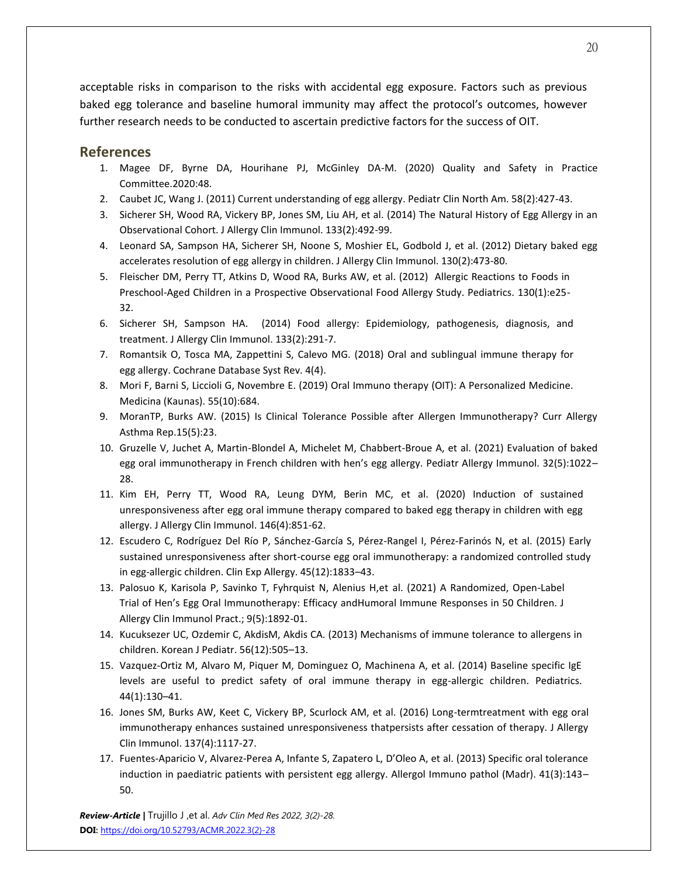acceptable risks in comparison to the risks with accidental egg exposure. Factors such as previous baked egg tolerance and baseline humoral immunity may affect the protocol's outcomes, however further research needs to be conducted to ascertain predictive factors for the success of OIT.

## **References**

- 1. Magee DF, Byrne DA, Hourihane PJ, McGinley DA-M. (2020) Quality and Safety in Practice Committee.2020:48.
- 2. Caubet JC, Wang J. (2011) Current understanding of egg allergy. Pediatr Clin North Am. 58(2):427-43.
- 3. Sicherer SH, Wood RA, Vickery BP, Jones SM, Liu AH, et al. (2014) The Natural History of Egg Allergy in an Observational Cohort. J Allergy Clin Immunol. 133(2):492-99.
- 4. Leonard SA, Sampson HA, Sicherer SH, Noone S, Moshier EL, Godbold J, et al. (2012) Dietary baked egg accelerates resolution of egg allergy in children. J Allergy Clin Immunol. 130(2):473-80.
- 5. Fleischer DM, Perry TT, Atkins D, Wood RA, Burks AW, et al. (2012) Allergic Reactions to Foods in Preschool-Aged Children in a Prospective Observational Food Allergy Study. Pediatrics. 130(1):e25- 32.
- 6. Sicherer SH, Sampson HA. (2014) Food allergy: Epidemiology, pathogenesis, diagnosis, and treatment. J Allergy Clin Immunol. 133(2):291-7.
- 7. Romantsik O, Tosca MA, Zappettini S, Calevo MG. (2018) Oral and sublingual immune therapy for egg allergy. Cochrane Database Syst Rev. 4(4).
- 8. Mori F, Barni S, Liccioli G, Novembre E. (2019) Oral Immuno therapy (OIT): A Personalized Medicine. Medicina (Kaunas). 55(10):684.
- 9. MoranTP, Burks AW. (2015) Is Clinical Tolerance Possible after Allergen Immunotherapy? Curr Allergy Asthma Rep.15(5):23.
- 10. Gruzelle V, Juchet A, Martin-Blondel A, Michelet M, Chabbert-Broue A, et al. (2021) Evaluation of baked egg oral immunotherapy in French children with hen's egg allergy. Pediatr Allergy Immunol. 32(5):1022– 28.
- 11. Kim EH, Perry TT, Wood RA, Leung DYM, Berin MC, et al. (2020) Induction of sustained unresponsiveness after egg oral immune therapy compared to baked egg therapy in children with egg allergy. J Allergy Clin Immunol. 146(4):851-62.
- 12. Escudero C, Rodríguez Del Río P, Sánchez-García S, Pérez-Rangel I, Pérez-Farinós N, et al. (2015) Early sustained unresponsiveness after short-course egg oral immunotherapy: a randomized controlled study in egg-allergic children. Clin Exp Allergy. 45(12):1833–43.
- 13. Palosuo K, Karisola P, Savinko T, Fyhrquist N, Alenius H,et al. (2021) A Randomized, Open-Label Trial of Hen's Egg Oral Immunotherapy: Efficacy andHumoral Immune Responses in 50 Children. J Allergy Clin Immunol Pract.; 9(5):1892-01.
- 14. Kucuksezer UC, Ozdemir C, AkdisM, Akdis CA. (2013) Mechanisms of immune tolerance to allergens in children. Korean J Pediatr. 56(12):505–13.
- 15. Vazquez-Ortiz M, Alvaro M, Piquer M, Dominguez O, Machinena A, et al. (2014) Baseline specific IgE levels are useful to predict safety of oral immune therapy in egg-allergic children. Pediatrics. 44(1):130–41.
- 16. Jones SM, Burks AW, Keet C, Vickery BP, Scurlock AM, et al. (2016) Long-termtreatment with egg oral immunotherapy enhances sustained unresponsiveness thatpersists after cessation of therapy. J Allergy Clin Immunol. 137(4):1117-27.
- 17. Fuentes-Aparicio V, Alvarez-Perea A, Infante S, Zapatero L, D'Oleo A, et al. (2013) Specific oral tolerance induction in paediatric patients with persistent egg allergy. Allergol Immuno pathol (Madr). 41(3):143– 50.